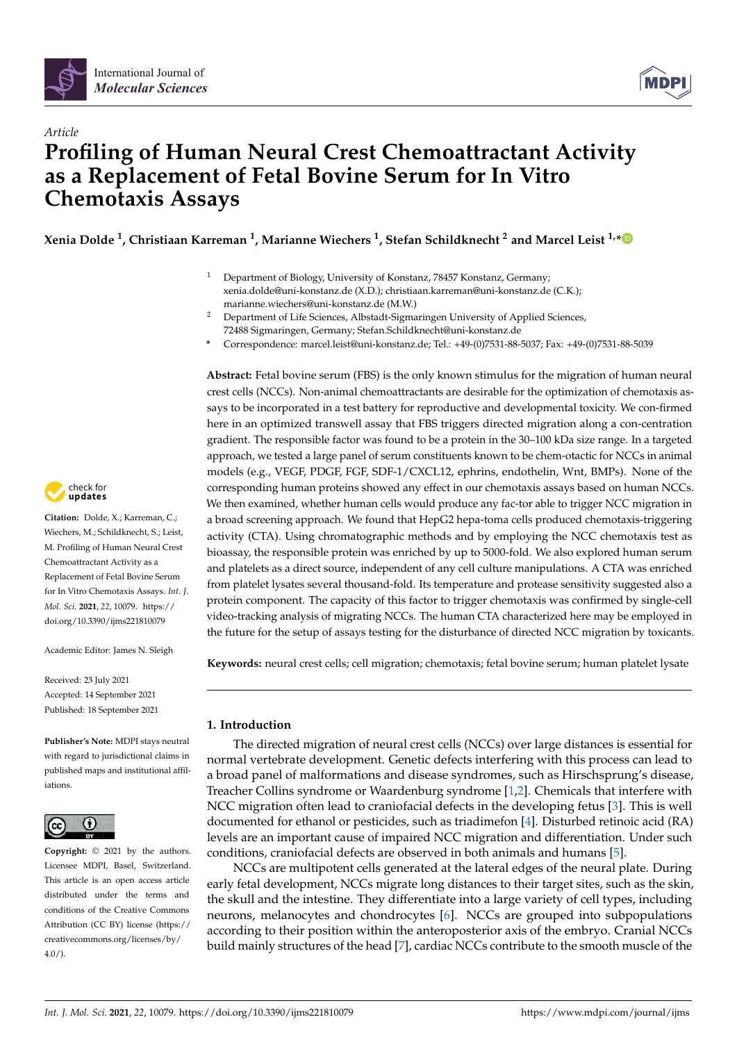

# *Article* **Profiling of Human Neural Crest Chemoattractant Activity as a Replacement of Fetal Bovine Serum for In Vitro Chemotaxis Assays**

**Xenia Dolde <sup>1</sup> , Christiaan Karreman <sup>1</sup> , Marianne Wiechers <sup>1</sup> , Stefan Schildknecht <sup>2</sup> and Marcel Leist 1,[\\*](https://orcid.org/0000-0002-3778-8693)**

- <sup>1</sup> Department of Biology, University of Konstanz, 78457 Konstanz, Germany; xenia.dolde@uni-konstanz.de (X.D.); christiaan.karreman@uni-konstanz.de (C.K.); marianne.wiechers@uni-konstanz.de (M.W.)
- <sup>2</sup> Department of Life Sciences, Albstadt-Sigmaringen University of Applied Sciences, 72488 Sigmaringen, Germany; Stefan.Schildknecht@uni-konstanz.de
- **\*** Correspondence: marcel.leist@uni-konstanz.de; Tel.: +49-(0)7531-88-5037; Fax: +49-(0)7531-88-5039

**Abstract:** Fetal bovine serum (FBS) is the only known stimulus for the migration of human neural crest cells (NCCs). Non-animal chemoattractants are desirable for the optimization of chemotaxis assays to be incorporated in a test battery for reproductive and developmental toxicity. We con-firmed here in an optimized transwell assay that FBS triggers directed migration along a con-centration gradient. The responsible factor was found to be a protein in the 30–100 kDa size range. In a targeted approach, we tested a large panel of serum constituents known to be chem-otactic for NCCs in animal models (e.g., VEGF, PDGF, FGF, SDF-1/CXCL12, ephrins, endothelin, Wnt, BMPs). None of the corresponding human proteins showed any effect in our chemotaxis assays based on human NCCs. We then examined, whether human cells would produce any fac-tor able to trigger NCC migration in a broad screening approach. We found that HepG2 hepa-toma cells produced chemotaxis-triggering activity (CTA). Using chromatographic methods and by employing the NCC chemotaxis test as bioassay, the responsible protein was enriched by up to 5000-fold. We also explored human serum and platelets as a direct source, independent of any cell culture manipulations. A CTA was enriched from platelet lysates several thousand-fold. Its temperature and protease sensitivity suggested also a protein component. The capacity of this factor to trigger chemotaxis was confirmed by single-cell video-tracking analysis of migrating NCCs. The human CTA characterized here may be employed in the future for the setup of assays testing for the disturbance of directed NCC migration by toxicants.

**Keywords:** neural crest cells; cell migration; chemotaxis; fetal bovine serum; human platelet lysate

## **1. Introduction**

The directed migration of neural crest cells (NCCs) over large distances is essential for normal vertebrate development. Genetic defects interfering with this process can lead to a broad panel of malformations and disease syndromes, such as Hirschsprung's disease, Treacher Collins syndrome or Waardenburg syndrome [\[1,](#page-18-0)[2\]](#page-18-1). Chemicals that interfere with NCC migration often lead to craniofacial defects in the developing fetus [\[3\]](#page-18-2). This is well documented for ethanol or pesticides, such as triadimefon [\[4\]](#page-18-3). Disturbed retinoic acid (RA) levels are an important cause of impaired NCC migration and differentiation. Under such conditions, craniofacial defects are observed in both animals and humans [\[5\]](#page-18-4).

NCCs are multipotent cells generated at the lateral edges of the neural plate. During early fetal development, NCCs migrate long distances to their target sites, such as the skin, the skull and the intestine. They differentiate into a large variety of cell types, including neurons, melanocytes and chondrocytes [\[6\]](#page-18-5). NCCs are grouped into subpopulations according to their position within the anteroposterior axis of the embryo. Cranial NCCs build mainly structures of the head [\[7\]](#page-18-6), cardiac NCCs contribute to the smooth muscle of the



**Citation:** Dolde, X.; Karreman, C.; Wiechers, M.; Schildknecht, S.; Leist, M. Profiling of Human Neural Crest Chemoattractant Activity as a Replacement of Fetal Bovine Serum for In Vitro Chemotaxis Assays. *Int. J. Mol. Sci.* **2021**, *22*, 10079. [https://](https://doi.org/10.3390/ijms221810079) [doi.org/10.3390/ijms221810079](https://doi.org/10.3390/ijms221810079)

Academic Editor: James N. Sleigh

Received: 23 July 2021 Accepted: 14 September 2021 Published: 18 September 2021

**Publisher's Note:** MDPI stays neutral with regard to jurisdictional claims in published maps and institutional affiliations.



**Copyright:** © 2021 by the authors. Licensee MDPI, Basel, Switzerland. This article is an open access article distributed under the terms and conditions of the Creative Commons Attribution (CC BY) license (https:/[/](https://creativecommons.org/licenses/by/4.0/) [creativecommons.org/licenses/by/](https://creativecommons.org/licenses/by/4.0/)  $4.0/$ ).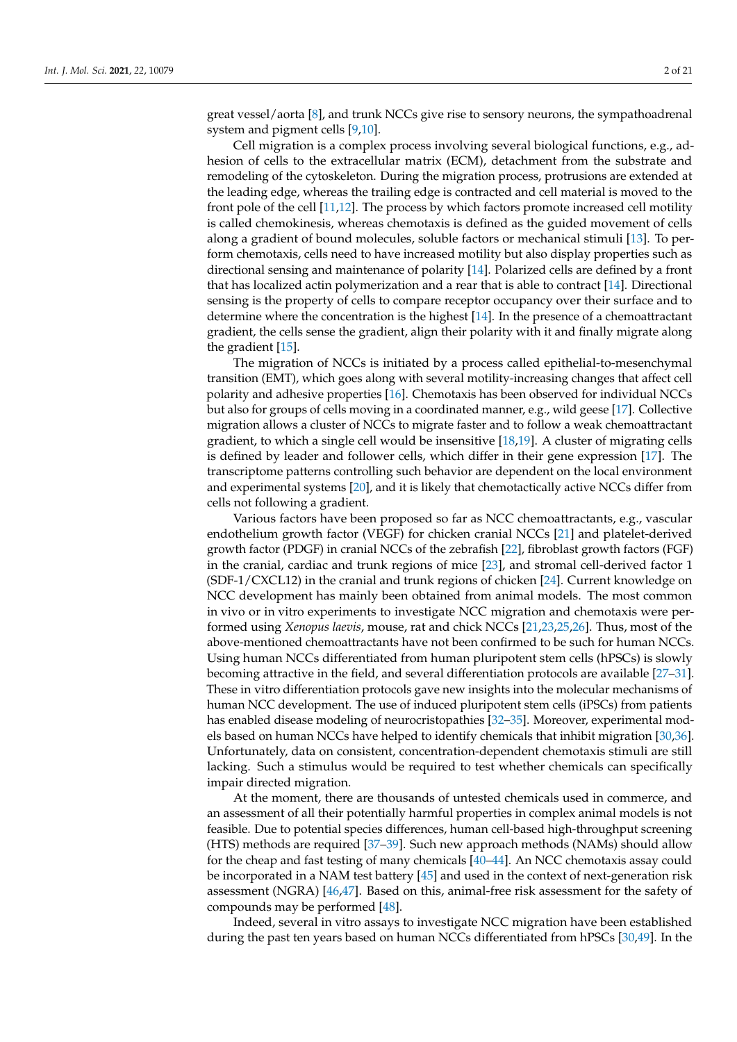great vessel/aorta [\[8\]](#page-18-7), and trunk NCCs give rise to sensory neurons, the sympathoadrenal system and pigment cells [\[9](#page-18-8)[,10\]](#page-18-9).

Cell migration is a complex process involving several biological functions, e.g., adhesion of cells to the extracellular matrix (ECM), detachment from the substrate and remodeling of the cytoskeleton. During the migration process, protrusions are extended at the leading edge, whereas the trailing edge is contracted and cell material is moved to the front pole of the cell [\[11](#page-18-10)[,12\]](#page-18-11). The process by which factors promote increased cell motility is called chemokinesis, whereas chemotaxis is defined as the guided movement of cells along a gradient of bound molecules, soluble factors or mechanical stimuli [\[13\]](#page-18-12). To perform chemotaxis, cells need to have increased motility but also display properties such as directional sensing and maintenance of polarity [\[14\]](#page-18-13). Polarized cells are defined by a front that has localized actin polymerization and a rear that is able to contract [\[14\]](#page-18-13). Directional sensing is the property of cells to compare receptor occupancy over their surface and to determine where the concentration is the highest [\[14\]](#page-18-13). In the presence of a chemoattractant gradient, the cells sense the gradient, align their polarity with it and finally migrate along the gradient [\[15\]](#page-18-14).

The migration of NCCs is initiated by a process called epithelial-to-mesenchymal transition (EMT), which goes along with several motility-increasing changes that affect cell polarity and adhesive properties [\[16\]](#page-18-15). Chemotaxis has been observed for individual NCCs but also for groups of cells moving in a coordinated manner, e.g., wild geese [\[17\]](#page-18-16). Collective migration allows a cluster of NCCs to migrate faster and to follow a weak chemoattractant gradient, to which a single cell would be insensitive [\[18,](#page-18-17)[19\]](#page-18-18). A cluster of migrating cells is defined by leader and follower cells, which differ in their gene expression [\[17\]](#page-18-16). The transcriptome patterns controlling such behavior are dependent on the local environment and experimental systems [\[20\]](#page-18-19), and it is likely that chemotactically active NCCs differ from cells not following a gradient.

Various factors have been proposed so far as NCC chemoattractants, e.g., vascular endothelium growth factor (VEGF) for chicken cranial NCCs [\[21\]](#page-18-20) and platelet-derived growth factor (PDGF) in cranial NCCs of the zebrafish [\[22\]](#page-18-21), fibroblast growth factors (FGF) in the cranial, cardiac and trunk regions of mice [\[23\]](#page-19-0), and stromal cell-derived factor 1 (SDF-1/CXCL12) in the cranial and trunk regions of chicken [\[24\]](#page-19-1). Current knowledge on NCC development has mainly been obtained from animal models. The most common in vivo or in vitro experiments to investigate NCC migration and chemotaxis were performed using *Xenopus laevis*, mouse, rat and chick NCCs [\[21,](#page-18-20)[23,](#page-19-0)[25,](#page-19-2)[26\]](#page-19-3). Thus, most of the above-mentioned chemoattractants have not been confirmed to be such for human NCCs. Using human NCCs differentiated from human pluripotent stem cells (hPSCs) is slowly becoming attractive in the field, and several differentiation protocols are available [\[27](#page-19-4)[–31\]](#page-19-5). These in vitro differentiation protocols gave new insights into the molecular mechanisms of human NCC development. The use of induced pluripotent stem cells (iPSCs) from patients has enabled disease modeling of neurocristopathies [\[32](#page-19-6)[–35\]](#page-19-7). Moreover, experimental models based on human NCCs have helped to identify chemicals that inhibit migration [\[30](#page-19-8)[,36\]](#page-19-9). Unfortunately, data on consistent, concentration-dependent chemotaxis stimuli are still lacking. Such a stimulus would be required to test whether chemicals can specifically impair directed migration.

At the moment, there are thousands of untested chemicals used in commerce, and an assessment of all their potentially harmful properties in complex animal models is not feasible. Due to potential species differences, human cell-based high-throughput screening (HTS) methods are required [\[37](#page-19-10)[–39\]](#page-19-11). Such new approach methods (NAMs) should allow for the cheap and fast testing of many chemicals [\[40–](#page-19-12)[44\]](#page-19-13). An NCC chemotaxis assay could be incorporated in a NAM test battery [\[45\]](#page-19-14) and used in the context of next-generation risk assessment (NGRA) [\[46,](#page-19-15)[47\]](#page-20-0). Based on this, animal-free risk assessment for the safety of compounds may be performed [\[48\]](#page-20-1).

Indeed, several in vitro assays to investigate NCC migration have been established during the past ten years based on human NCCs differentiated from hPSCs [\[30,](#page-19-8)[49\]](#page-20-2). In the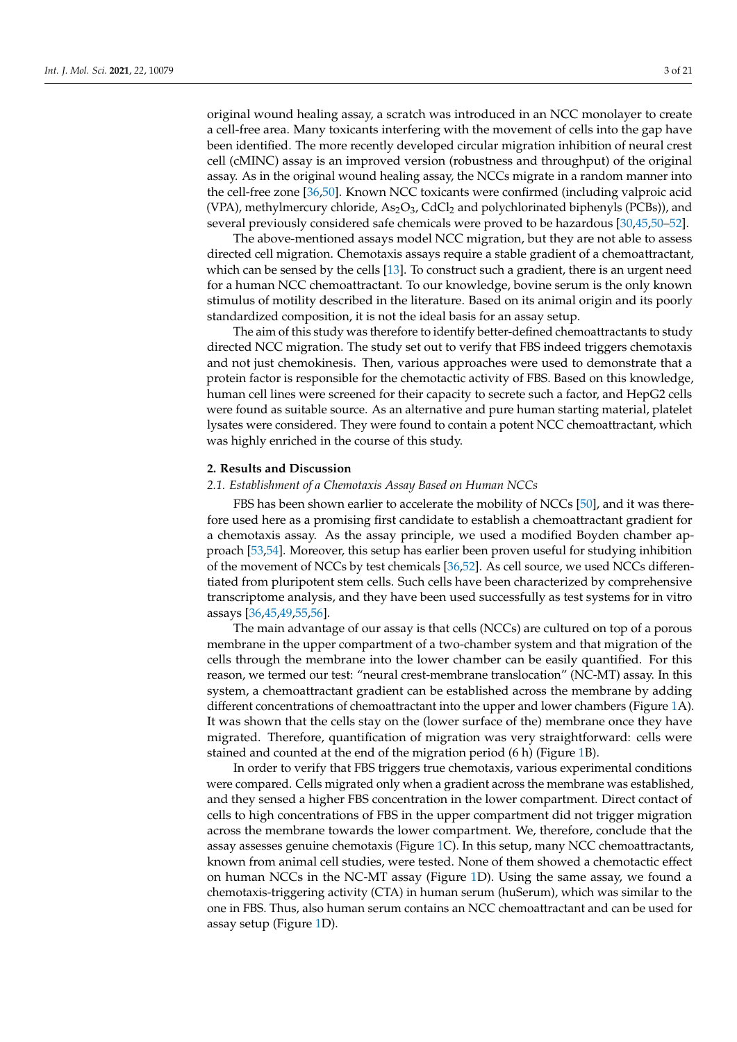original wound healing assay, a scratch was introduced in an NCC monolayer to create a cell-free area. Many toxicants interfering with the movement of cells into the gap have been identified. The more recently developed circular migration inhibition of neural crest cell (cMINC) assay is an improved version (robustness and throughput) of the original assay. As in the original wound healing assay, the NCCs migrate in a random manner into the cell-free zone [\[36,](#page-19-9)[50\]](#page-20-3). Known NCC toxicants were confirmed (including valproic acid (VPA), methylmercury chloride,  $As_2O_3$ , CdCl<sub>2</sub> and polychlorinated biphenyls (PCBs)), and several previously considered safe chemicals were proved to be hazardous [\[30,](#page-19-8)[45,](#page-19-14)[50](#page-20-3)[–52\]](#page-20-4).

The above-mentioned assays model NCC migration, but they are not able to assess directed cell migration. Chemotaxis assays require a stable gradient of a chemoattractant, which can be sensed by the cells [\[13\]](#page-18-12). To construct such a gradient, there is an urgent need for a human NCC chemoattractant. To our knowledge, bovine serum is the only known stimulus of motility described in the literature. Based on its animal origin and its poorly standardized composition, it is not the ideal basis for an assay setup.

The aim of this study was therefore to identify better-defined chemoattractants to study directed NCC migration. The study set out to verify that FBS indeed triggers chemotaxis and not just chemokinesis. Then, various approaches were used to demonstrate that a protein factor is responsible for the chemotactic activity of FBS. Based on this knowledge, human cell lines were screened for their capacity to secrete such a factor, and HepG2 cells were found as suitable source. As an alternative and pure human starting material, platelet lysates were considered. They were found to contain a potent NCC chemoattractant, which was highly enriched in the course of this study.

#### **2. Results and Discussion**

## *2.1. Establishment of a Chemotaxis Assay Based on Human NCCs*

FBS has been shown earlier to accelerate the mobility of NCCs [\[50\]](#page-20-3), and it was therefore used here as a promising first candidate to establish a chemoattractant gradient for a chemotaxis assay. As the assay principle, we used a modified Boyden chamber approach [\[53](#page-20-5)[,54\]](#page-20-6). Moreover, this setup has earlier been proven useful for studying inhibition of the movement of NCCs by test chemicals [\[36](#page-19-9)[,52\]](#page-20-4). As cell source, we used NCCs differentiated from pluripotent stem cells. Such cells have been characterized by comprehensive transcriptome analysis, and they have been used successfully as test systems for in vitro assays [\[36,](#page-19-9)[45,](#page-19-14)[49,](#page-20-2)[55,](#page-20-7)[56\]](#page-20-8).

The main advantage of our assay is that cells (NCCs) are cultured on top of a porous membrane in the upper compartment of a two-chamber system and that migration of the cells through the membrane into the lower chamber can be easily quantified. For this reason, we termed our test: "neural crest-membrane translocation" (NC-MT) assay. In this system, a chemoattractant gradient can be established across the membrane by adding different concentrations of chemoattractant into the upper and lower chambers (Figure [1A](#page-3-0)). It was shown that the cells stay on the (lower surface of the) membrane once they have migrated. Therefore, quantification of migration was very straightforward: cells were stained and counted at the end of the migration period (6 h) (Figure [1B](#page-3-0)).

In order to verify that FBS triggers true chemotaxis, various experimental conditions were compared. Cells migrated only when a gradient across the membrane was established, and they sensed a higher FBS concentration in the lower compartment. Direct contact of cells to high concentrations of FBS in the upper compartment did not trigger migration across the membrane towards the lower compartment. We, therefore, conclude that the assay assesses genuine chemotaxis (Figure [1C](#page-3-0)). In this setup, many NCC chemoattractants, known from animal cell studies, were tested. None of them showed a chemotactic effect on human NCCs in the NC-MT assay (Figure [1D](#page-3-0)). Using the same assay, we found a chemotaxis-triggering activity (CTA) in human serum (huSerum), which was similar to the one in FBS. Thus, also human serum contains an NCC chemoattractant and can be used for assay setup (Figure [1D](#page-3-0)).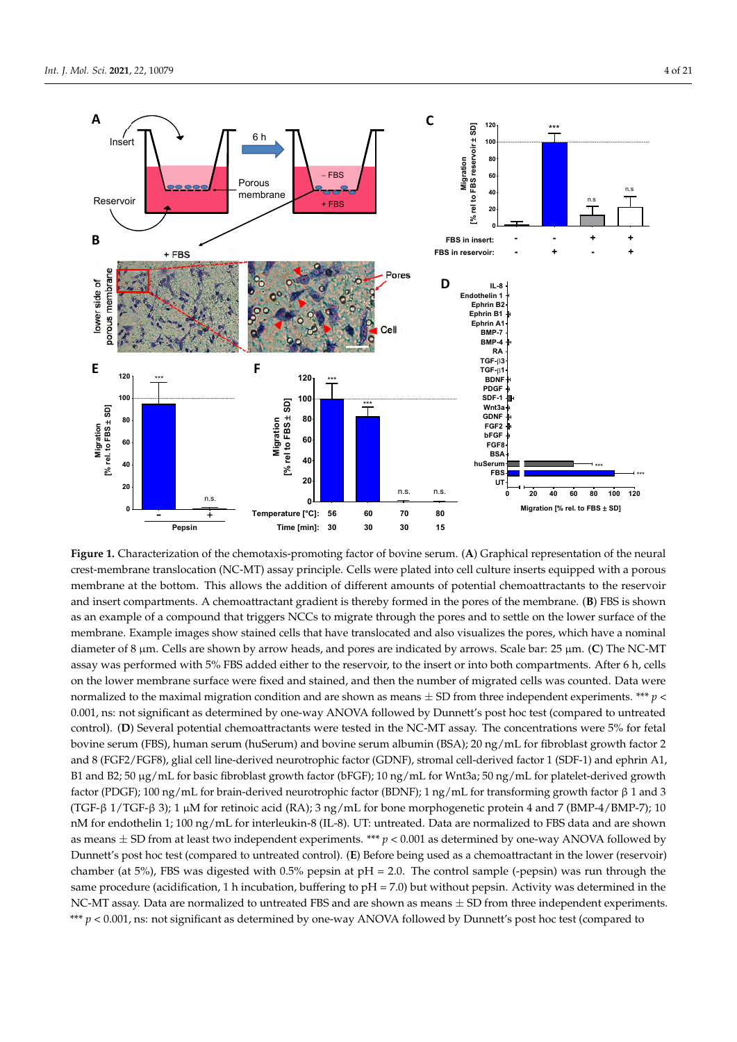<span id="page-3-0"></span>

membrane. Example images snow stained cells that have translocated and also visualizes the pores, which have a nominal<br>diameter of 8 μm. Cells are shown by arrow heads, and pores are indicated by arrows. Scale bar: 25 μm. assay was performed with 5% FBS added either to the reservoir, to the insert or into both compartments. After 6 h, cells<br>on the lower membrane surface were fixed and stained, and then the number of migrated cells was count **Figure 1.** Characterization of the chemotaxis-promoting factor of bovine serum. (**A**) Graphical representation of the neural crest-membrane translocation (NC-MT) assay principle. Cells were plated into cell culture inserts equipped with a porous membrane at the bottom. This allows the addition of different amounts of potential chemoattractants to the reservoir and insert compartments. A chemoattractant gradient is thereby formed in the pores of the membrane. (**B**) FBS is shown as an example of a compound that triggers NCCs to migrate through the pores and to settle on the lower surface of the membrane. Example images show stained cells that have translocated and also visualizes the pores, which have a nominal on the lower membrane surface were fixed and stained, and then the number of migrated cells was counted. Data were normalized to the maximal migration condition and are shown as means  $\pm$  SD from three independent experiments. \*\*\*  $p$  < 0.001, ns: not significant as determined by one-way ANOVA followed by Dunnett's post hoc test (compared to untreated control). (**D**) Several potential chemoattractants were tested in the NC-MT assay. The concentrations were 5% for fetal bovine serum (FBS), human serum (huSerum) and bovine serum albumin (BSA); 20 ng/mL for fibroblast growth factor 2 and 8 (FGF2/FGF8), glial cell line-derived neurotrophic factor (GDNF), stromal cell-derived factor 1 (SDF-1) and ephrin A1, B1 and B2; 50 µg/mL for basic fibroblast growth factor (bFGF); 10 ng/mL for Wnt3a; 50 ng/mL for platelet-derived growth factor (PDGF); 100 ng/mL for brain-derived neurotrophic factor (BDNF); 1 ng/mL for transforming growth factor β 1 and 3 (TGF-β 1/TGF-β 3); 1 µM for retinoic acid (RA); 3 ng/mL for bone morphogenetic protein 4 and 7 (BMP-4/BMP-7); 10 nM for endothelin 1; 100 ng/mL for interleukin-8 (IL-8). UT: untreated. Data are normalized to FBS data and are shown as means  $\pm$  SD from at least two independent experiments. \*\*\*  $p < 0.001$  as determined by one-way ANOVA followed by Dunnett's post hoc test (compared to untreated control). (**E**) Before being used as a chemoattractant in the lower (reservoir) chamber (at 5%), FBS was digested with 0.5% pepsin at  $pH = 2.0$ . The control sample (-pepsin) was run through the same procedure (acidification, 1 h incubation, buffering to  $pH = 7.0$ ) but without pepsin. Activity was determined in the NC-MT assay. Data are normalized to untreated FBS and are shown as means  $\pm$  SD from three independent experiments. \*\*\* *p* < 0.001, ns: not significant as determined by one-way ANOVA followed by Dunnett's post hoc test (compared to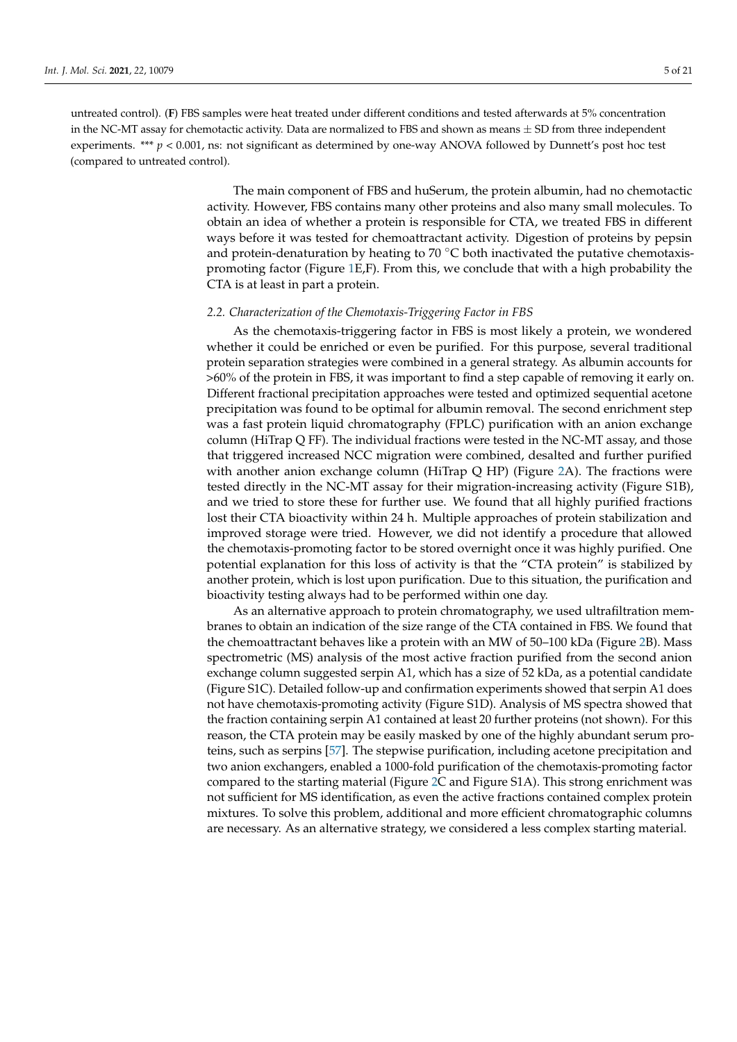untreated control). (**F**) FBS samples were heat treated under different conditions and tested afterwards at 5% concentration in the NC-MT assay for chemotactic activity. Data are normalized to FBS and shown as means  $\pm$  SD from three independent experiments. \*\*\* *p* < 0.001, ns: not significant as determined by one-way ANOVA followed by Dunnett's post hoc test (compared to untreated control).

> The main component of FBS and huSerum, the protein albumin, had no chemotactic activity. However, FBS contains many other proteins and also many small molecules. To obtain an idea of whether a protein is responsible for CTA, we treated FBS in different ways before it was tested for chemoattractant activity. Digestion of proteins by pepsin and protein-denaturation by heating to 70  $\degree$ C both inactivated the putative chemotaxispromoting factor (Figure [1E](#page-3-0),F). From this, we conclude that with a high probability the CTA is at least in part a protein.

#### *2.2. Characterization of the Chemotaxis-Triggering Factor in FBS*

As the chemotaxis-triggering factor in FBS is most likely a protein, we wondered whether it could be enriched or even be purified. For this purpose, several traditional protein separation strategies were combined in a general strategy. As albumin accounts for >60% of the protein in FBS, it was important to find a step capable of removing it early on. Different fractional precipitation approaches were tested and optimized sequential acetone precipitation was found to be optimal for albumin removal. The second enrichment step was a fast protein liquid chromatography (FPLC) purification with an anion exchange column (HiTrap Q FF). The individual fractions were tested in the NC-MT assay, and those that triggered increased NCC migration were combined, desalted and further purified with another anion exchange column (HiTrap Q HP) (Figure [2A](#page-5-0)). The fractions were tested directly in the NC-MT assay for their migration-increasing activity (Figure S1B), and we tried to store these for further use. We found that all highly purified fractions lost their CTA bioactivity within 24 h. Multiple approaches of protein stabilization and improved storage were tried. However, we did not identify a procedure that allowed the chemotaxis-promoting factor to be stored overnight once it was highly purified. One potential explanation for this loss of activity is that the "CTA protein" is stabilized by another protein, which is lost upon purification. Due to this situation, the purification and bioactivity testing always had to be performed within one day.

As an alternative approach to protein chromatography, we used ultrafiltration membranes to obtain an indication of the size range of the CTA contained in FBS. We found that the chemoattractant behaves like a protein with an MW of 50–100 kDa (Figure [2B](#page-5-0)). Mass spectrometric (MS) analysis of the most active fraction purified from the second anion exchange column suggested serpin A1, which has a size of 52 kDa, as a potential candidate (Figure S1C). Detailed follow-up and confirmation experiments showed that serpin A1 does not have chemotaxis-promoting activity (Figure S1D). Analysis of MS spectra showed that the fraction containing serpin A1 contained at least 20 further proteins (not shown). For this reason, the CTA protein may be easily masked by one of the highly abundant serum proteins, such as serpins [\[57\]](#page-20-9). The stepwise purification, including acetone precipitation and two anion exchangers, enabled a 1000-fold purification of the chemotaxis-promoting factor compared to the starting material (Figure [2C](#page-5-0) and Figure S1A). This strong enrichment was not sufficient for MS identification, as even the active fractions contained complex protein mixtures. To solve this problem, additional and more efficient chromatographic columns are necessary. As an alternative strategy, we considered a less complex starting material.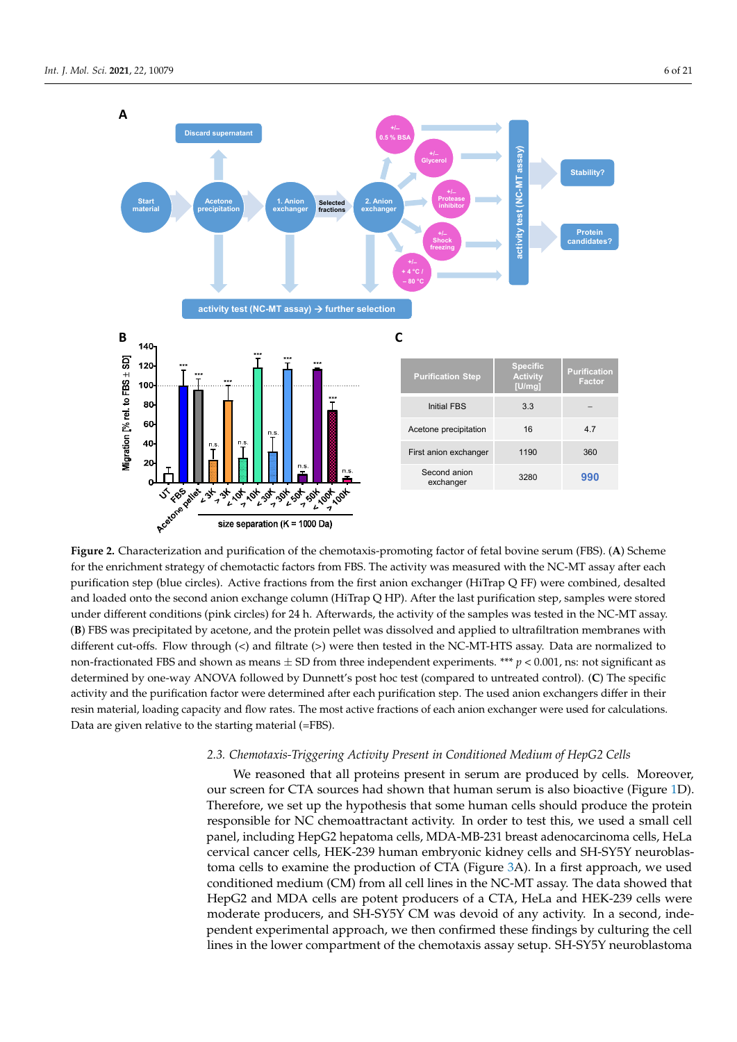<span id="page-5-0"></span>

Figure 2. Characterization and purification of the chemotaxis-promoting factor of fetal bovine serum (FBS). (A) Scheme for the enrichment strategy of chemotactic factors from FBS. The activity was measured with the NC-MT assay after each purification step (blue circles). Active fractions from the first anion exchanger (HiTrap Q FF) were combined, desalted and loaded onto the second anion exchange column (HiTrap Q HP). After the last purification step, samples were stored under different conditions (pink circles) for 24 h. Afterwards, the activity of the samples was tested in the NC-MT assay. (B) FBS was precipitated by acetone, and the protein pellet was dissolved and applied to ultrafiltration membranes with  $\omega_{\text{1}}$  bo was precipied by according and the protein penet was dissolved and applied to annuminately included to different cut-offs. Flow through (<) and filtrate (>) were then tested in the NC-MT-HTS assay. Data are normalized to non-fractionated FBS and shown as means  $\pm$  SD from three independent experiments. \*\*\*  $p$  < 0.001, ns: not significant as determined by one-way ANOVA followed by Dunnett's post hoc test (compared to untreated control). (C) The specific activity and the purification factor were determined after each purification step. The used anion exchangers differ in their resin material, loading capacity and flow rates. The most active fractions of each anion exchanger were used for calculations. Data are given relative to the starting material (=FBS).

## 2.3. Chemotaxis-Triggering Activity Present in Conditioned Medium of HepG2 Cells

We reasoned that all proteins present in serum are produced by cells. Moreover, our screen for CTA sources had shown that human serum is also bioactive (Figure 1D). Therefore, we set up the hypothesis that some human cells should produce the protein responsible for NC chemoattractant activity. In order to test this, we used a small cell panel, including HepG2 hepatoma cells, MDA-MB-231 breast adenocarcinoma cells, HeLa cervical cancer cells, HEK-239 human embryonic kidney cells and SH-SY5Y neuroblastoma cells to examine t[he](#page-7-0) production of CTA (Figure 3A). In a first approach, we used conditioned medium (CM) from all cell lines in the NC-MT assay. The data showed that HepG2 and MDA cells are potent producers of a CTA, HeLa and HEK-239 cells were moderate producers, and SH-SY5Y CM was devoid of any activity. In a second, independent experimental approach, we then confirmed these findings by culturing the cell lines in the lower compartment of the chemotaxis assay setup. SH-SY5Y neuroblastoma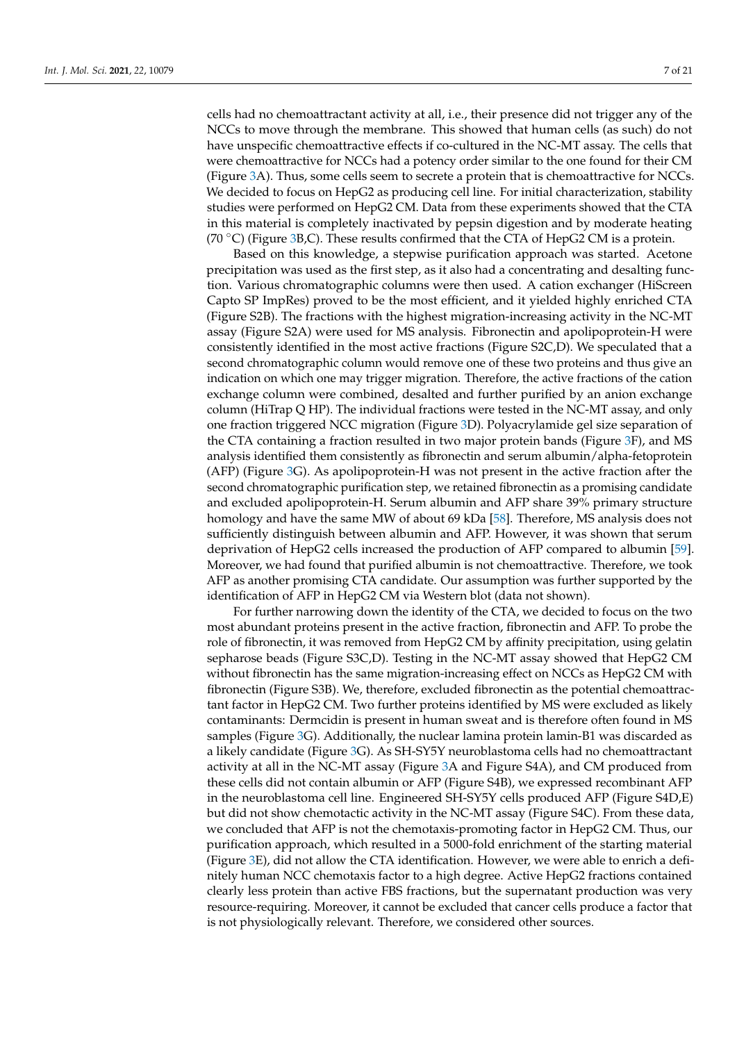cells had no chemoattractant activity at all, i.e., their presence did not trigger any of the NCCs to move through the membrane. This showed that human cells (as such) do not have unspecific chemoattractive effects if co-cultured in the NC-MT assay. The cells that were chemoattractive for NCCs had a potency order similar to the one found for their CM (Figure [3A](#page-7-0)). Thus, some cells seem to secrete a protein that is chemoattractive for NCCs. We decided to focus on HepG2 as producing cell line. For initial characterization, stability studies were performed on HepG2 CM. Data from these experiments showed that the CTA in this material is completely inactivated by pepsin digestion and by moderate heating (70  $\degree$ C) (Figure [3B](#page-7-0),C). These results confirmed that the CTA of HepG2 CM is a protein.

Based on this knowledge, a stepwise purification approach was started. Acetone precipitation was used as the first step, as it also had a concentrating and desalting function. Various chromatographic columns were then used. A cation exchanger (HiScreen Capto SP ImpRes) proved to be the most efficient, and it yielded highly enriched CTA (Figure S2B). The fractions with the highest migration-increasing activity in the NC-MT assay (Figure S2A) were used for MS analysis. Fibronectin and apolipoprotein-H were consistently identified in the most active fractions (Figure S2C,D). We speculated that a second chromatographic column would remove one of these two proteins and thus give an indication on which one may trigger migration. Therefore, the active fractions of the cation exchange column were combined, desalted and further purified by an anion exchange column (HiTrap Q HP). The individual fractions were tested in the NC-MT assay, and only one fraction triggered NCC migration (Figure [3D](#page-7-0)). Polyacrylamide gel size separation of the CTA containing a fraction resulted in two major protein bands (Figure [3F](#page-7-0)), and MS analysis identified them consistently as fibronectin and serum albumin/alpha-fetoprotein (AFP) (Figure [3G](#page-7-0)). As apolipoprotein-H was not present in the active fraction after the second chromatographic purification step, we retained fibronectin as a promising candidate and excluded apolipoprotein-H. Serum albumin and AFP share 39% primary structure homology and have the same MW of about 69 kDa [\[58\]](#page-20-10). Therefore, MS analysis does not sufficiently distinguish between albumin and AFP. However, it was shown that serum deprivation of HepG2 cells increased the production of AFP compared to albumin [\[59\]](#page-20-11). Moreover, we had found that purified albumin is not chemoattractive. Therefore, we took AFP as another promising CTA candidate. Our assumption was further supported by the identification of AFP in HepG2 CM via Western blot (data not shown).

For further narrowing down the identity of the CTA, we decided to focus on the two most abundant proteins present in the active fraction, fibronectin and AFP. To probe the role of fibronectin, it was removed from HepG2 CM by affinity precipitation, using gelatin sepharose beads (Figure S3C,D). Testing in the NC-MT assay showed that HepG2 CM without fibronectin has the same migration-increasing effect on NCCs as HepG2 CM with fibronectin (Figure S3B). We, therefore, excluded fibronectin as the potential chemoattractant factor in HepG2 CM. Two further proteins identified by MS were excluded as likely contaminants: Dermcidin is present in human sweat and is therefore often found in MS samples (Figure [3G](#page-7-0)). Additionally, the nuclear lamina protein lamin-B1 was discarded as a likely candidate (Figure [3G](#page-7-0)). As SH-SY5Y neuroblastoma cells had no chemoattractant activity at all in the NC-MT assay (Figure [3A](#page-7-0) and Figure S4A), and CM produced from these cells did not contain albumin or AFP (Figure S4B), we expressed recombinant AFP in the neuroblastoma cell line. Engineered SH-SY5Y cells produced AFP (Figure S4D,E) but did not show chemotactic activity in the NC-MT assay (Figure S4C). From these data, we concluded that AFP is not the chemotaxis-promoting factor in HepG2 CM. Thus, our purification approach, which resulted in a 5000-fold enrichment of the starting material (Figure [3E](#page-7-0)), did not allow the CTA identification. However, we were able to enrich a definitely human NCC chemotaxis factor to a high degree. Active HepG2 fractions contained clearly less protein than active FBS fractions, but the supernatant production was very resource-requiring. Moreover, it cannot be excluded that cancer cells produce a factor that is not physiologically relevant. Therefore, we considered other sources.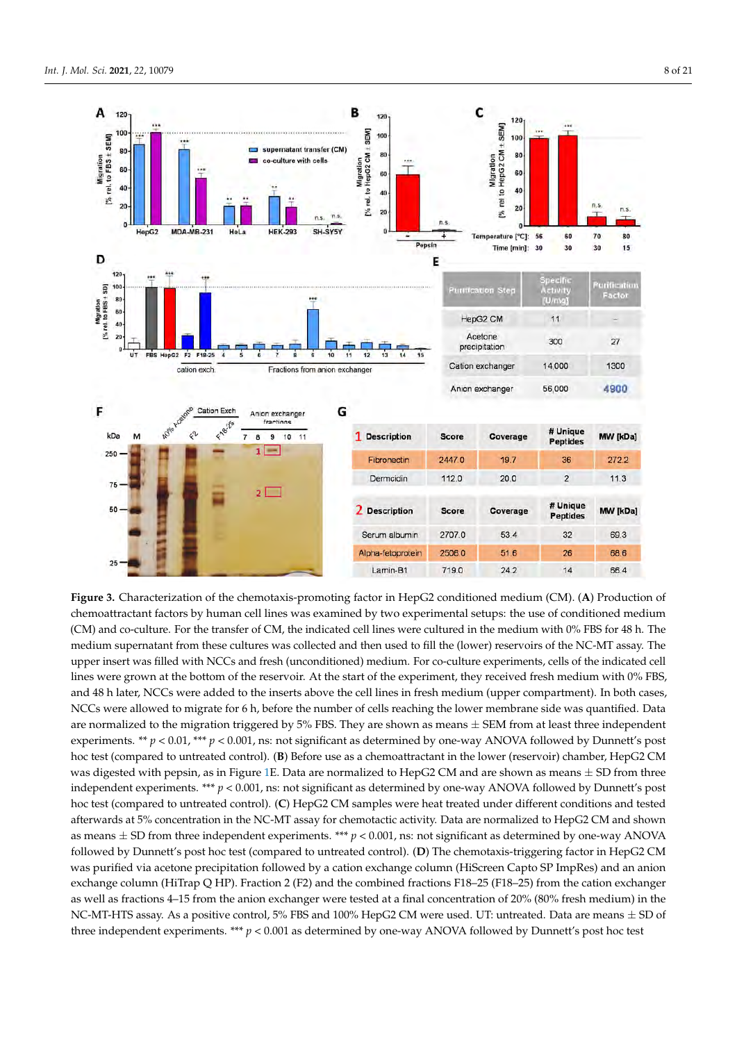<span id="page-7-0"></span>

Figure 3. Characterization of the chemotaxis-promoting factor in HepG2 conditioned medium (CM). (A) Production of chemoattractant factors by human cell lines was examined by two experimental setups: the use of conditioned medium chemoattractant factors by human cell lines was examined by two experimental setups: the use of conditioned medium<br>(CM) and co-culture. For the transfer of CM, the indicated cell lines were cultured in the medium with 0% F medium supernatant from these cultures was collected and then used to fill the (lower) reservoirs of the NC-MT assay. The upper insert was filled with NCCs and fresh (unconditioned) medium. For co-culture experiments, cells of the indicated cell lines were grown at the bottom of the reservoir. At the start of the experiment, they received fresh medium with 0% FBS, and 48 h later, NCCs were added to the inserts above the cell lines in fresh medium (upper compartment). In both cases, In both cases, NCCs were allowed to me hole to were the central number including (upper comparativity), in backuptos NCCs were allowed to migrate for 6 h, before the number of cells reaching the lower membrane side was quantified. Data are normalized to the migration triggered by 5% FBS. They are shown as means  $\pm$  SEM from at least three independent experiments. \*\*  $p < 0.01$ , \*\*\*  $p < 0.001$ , ns: not significant as determined by one-way ANOVA followed by Dunnett's post hoc test (compared to untreated control). (**B**) Before use as a chemoattractant in the lower (reservoir) chamber, HepG2 CM was digested with pepsin, as in Figure 1E. Data are normalized to HepG2 CM and are shown as means  $\pm$  SD from three independent experiments. \*\*\*  $p < 0.001$ , ns: not significant as determined by one-way ANOVA followed by Dunnett's post hoc test (compared to untreated control). (C) HepG2 CM samples were heat treated under different conditions and tested afterwards at 5% concentration in the NC-MT assay for chemotactic activity. Data are normalized to HepG2 CM and shown as means  $\pm$  SD from three independent experiments. \*\*\*  $p$  < 0.001, ns: not significant as determined by one-way ANOVA  $\frac{d}{dx}$  CM  $\frac{d}{dx}$  CM was purified via action for a cation for  $\frac{d}{dx}$  cation for  $\frac{d}{dx}$  cation exchange column for  $\frac{d}{dx}$ followed by Dunnett's post hoc test (compared to untreated control). (D) The chemotaxis-triggering factor in HepG2 CM was purified via acetone precipitation followed by a cation exchange column (HiScreen Capto SP ImpRes) and an anion exchange column (HiTrap Q HP). Fraction 2 (F2) and the combined fractions F18–25 (F18–25) from the cation exchanger as well as fractions 4–15 from the anion exchanger were tested at a final concentration of 20% (80% fresh medium) in the NC-MT-HTS assay. As a positive control, 5% FBS and 100% HepG2 CM were used. UT: untreated. Data are means  $\pm$  SD of three independent experiments. \*\*\*  $p < 0.001$  as determined by one-way ANOVA followed by Dunnett's post hoc test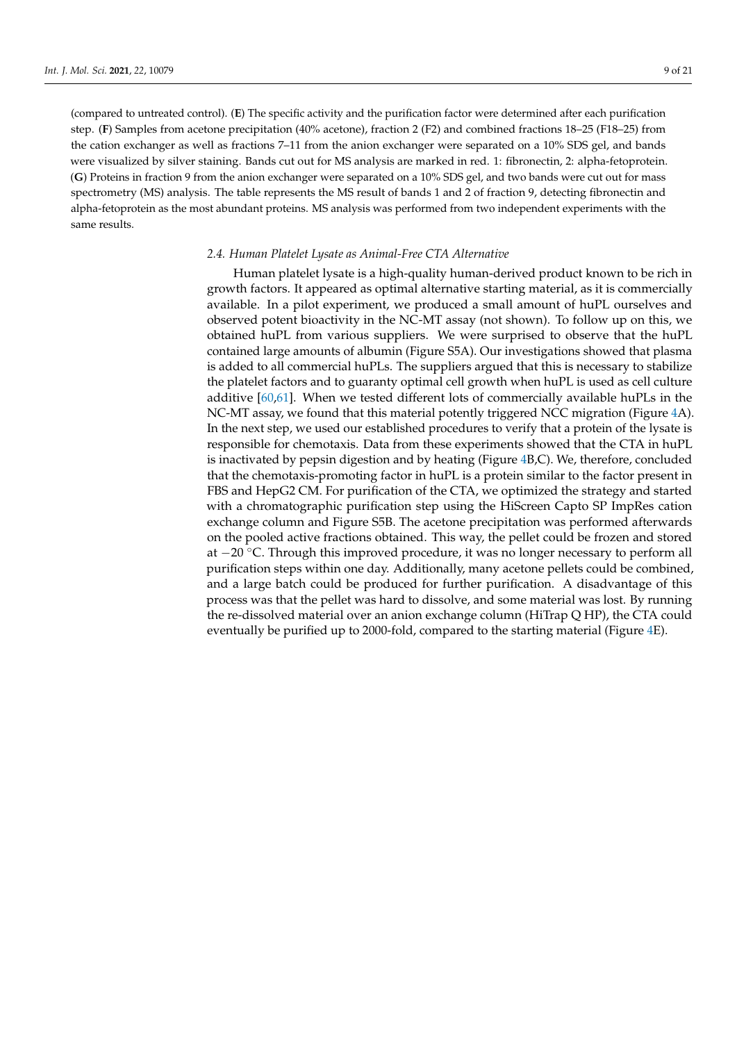(compared to untreated control). (**E**) The specific activity and the purification factor were determined after each purification step. (**F**) Samples from acetone precipitation (40% acetone), fraction 2 (F2) and combined fractions 18–25 (F18–25) from the cation exchanger as well as fractions 7–11 from the anion exchanger were separated on a 10% SDS gel, and bands were visualized by silver staining. Bands cut out for MS analysis are marked in red. 1: fibronectin, 2: alpha-fetoprotein. (**G**) Proteins in fraction 9 from the anion exchanger were separated on a 10% SDS gel, and two bands were cut out for mass spectrometry (MS) analysis. The table represents the MS result of bands 1 and 2 of fraction 9, detecting fibronectin and alpha-fetoprotein as the most abundant proteins. MS analysis was performed from two independent experiments with the same results.

### *2.4. Human Platelet Lysate as Animal-Free CTA Alternative*

Human platelet lysate is a high-quality human-derived product known to be rich in growth factors. It appeared as optimal alternative starting material, as it is commercially available. In a pilot experiment, we produced a small amount of huPL ourselves and observed potent bioactivity in the NC-MT assay (not shown). To follow up on this, we obtained huPL from various suppliers. We were surprised to observe that the huPL contained large amounts of albumin (Figure S5A). Our investigations showed that plasma is added to all commercial huPLs. The suppliers argued that this is necessary to stabilize the platelet factors and to guaranty optimal cell growth when huPL is used as cell culture additive [\[60,](#page-20-12)[61\]](#page-20-13). When we tested different lots of commercially available huPLs in the NC-MT assay, we found that this material potently triggered NCC migration (Figure [4A](#page-9-0)). In the next step, we used our established procedures to verify that a protein of the lysate is responsible for chemotaxis. Data from these experiments showed that the CTA in huPL is inactivated by pepsin digestion and by heating (Figure [4B](#page-9-0),C). We, therefore, concluded that the chemotaxis-promoting factor in huPL is a protein similar to the factor present in FBS and HepG2 CM. For purification of the CTA, we optimized the strategy and started with a chromatographic purification step using the HiScreen Capto SP ImpRes cation exchange column and Figure S5B. The acetone precipitation was performed afterwards on the pooled active fractions obtained. This way, the pellet could be frozen and stored at −20 ◦C. Through this improved procedure, it was no longer necessary to perform all purification steps within one day. Additionally, many acetone pellets could be combined, and a large batch could be produced for further purification. A disadvantage of this process was that the pellet was hard to dissolve, and some material was lost. By running the re-dissolved material over an anion exchange column (HiTrap Q HP), the CTA could eventually be purified up to 2000-fold, compared to the starting material (Figure [4E](#page-9-0)).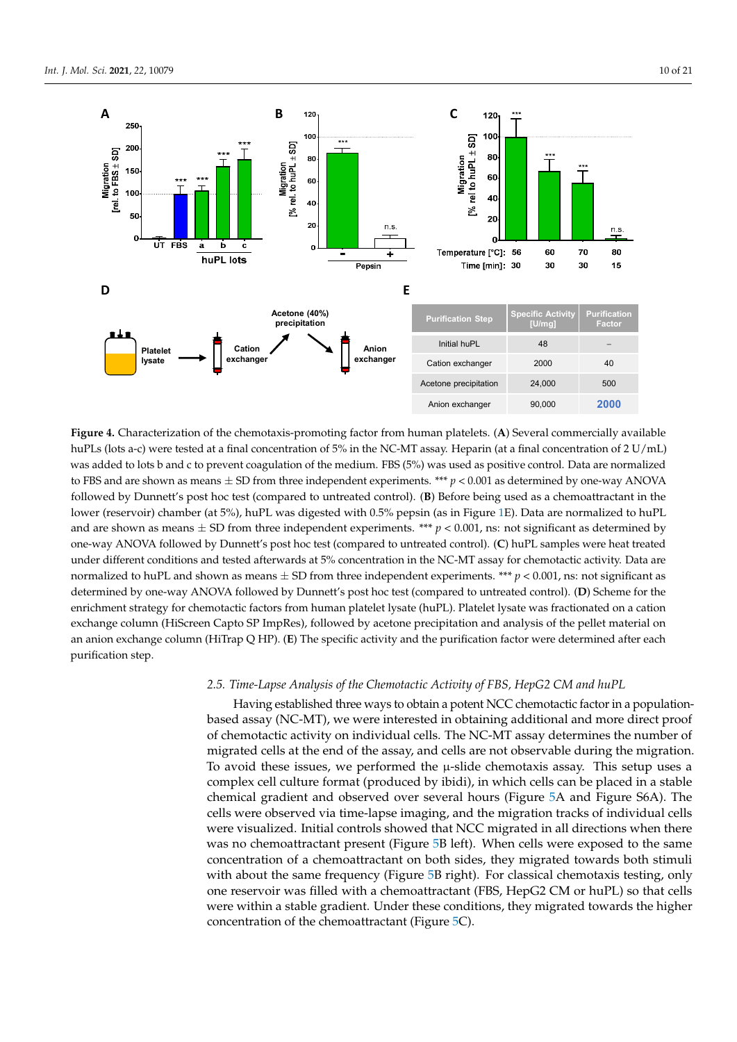<span id="page-9-0"></span>

**Figure 4.** Characterization of the chemotaxis-promoting factor from human platelets. (A) Several commercially available contract the contract of the contract of the contract of the contract of the contract of the contract huPLs (lots a-c) were tested at a final concentration of 5% in the NC-MT assay. Heparin (at a final concentration of 2 U/mL) was added to lots b and c to prevent coagulation of the medium. FBS (5%) was used as positive control. Data are normalized to FBS and are shown as means  $\pm$  SD from three independent experiments. \*\*\*  $p$  < 0.001 as determined by one-way ANOVA followed by Dunnett's post hoc test (compared to untreated control). (B) Before being used as a chemoattractant in the lower (reservoir) chamber (at 5%), huPL was digested with 0.5% pepsin (as in Figure [1E](#page-3-0)). Data are normalized to huPL and are shown as means  $\pm$  SD from three independent experiments. \*\*\*  $p < 0.001$ , ns: not significant as determined by one-way ANOVA followed by Dunnett's post hoc test (compared to untreated control). (C) huPL samples were heat treated under different conditions and tested afterwards at 5% concentration in the NC-MT assay for chemotactic activity. Data are tactive activity. Data are not the normalized to help and shown as means  $\frac{1}{2}$  and shown as means  $\frac{1}{2}$ . normalized to huPL and shown as means  $\pm$  SD from three independent experiments. \*\*\*  $p < 0.001$ , ns: not significant as determined by one-way ANOVA followed by Dunnett's post hoc test (compared to untreated control). (**D**) Scheme for the enrichment strategy for chemotactic factors from human platelet lysate (huPL). Platelet lysate was fractionated on a cation exchange column (HiScreen Capto SP ImpRes), followed by acetone precipitation and analysis of the pellet material on an anion exchange column (HiTrap Q HP). (**E**) The specific activity and the purification factor were determined after each purification step.

# 2.5. Time-Lapse Analysis of the Chemotactic Activity of FBS, HepG2 CM and huPL

Having established three ways to obtain a potent NCC chemotactic factor in a populationbased assay (NC-MT), we were interested in obtaining additional and more direct proof of chemotactic activity on individual cells. The NC-MT assay determines the number of migrated cells at the end of the assay, and cells are not observable during the migration. To avoid these issues, we performed the  $\mu$ -slide chemotaxis assay. This setup uses a complex cell culture format (produced by ibidi), in which cells can be placed in a stable chemical gradient and observed over several hours (Figure 5A and Figure S6A). The cells were observed via time-lapse imaging, and the migration tracks of individual cells were visualized. Initial controls showed that NCC migrated in all directions when there was no chemoattractant present (Figure [5B](#page-10-0) left). When cells were exposed to the same concentration of a chemoattractant on both sides, they migrated towards both stimuli with about the same frequency (Figure [5B](#page-10-0) right). For classical chemotaxis testing, only one reservoir was filled with a chemoattractant (FBS, HepG2 CM or huPL) so that cells were within a stable gradient. Under these conditions, they migrated towards the higher concentration of the chemoattractant (Figure [5C](#page-10-0)).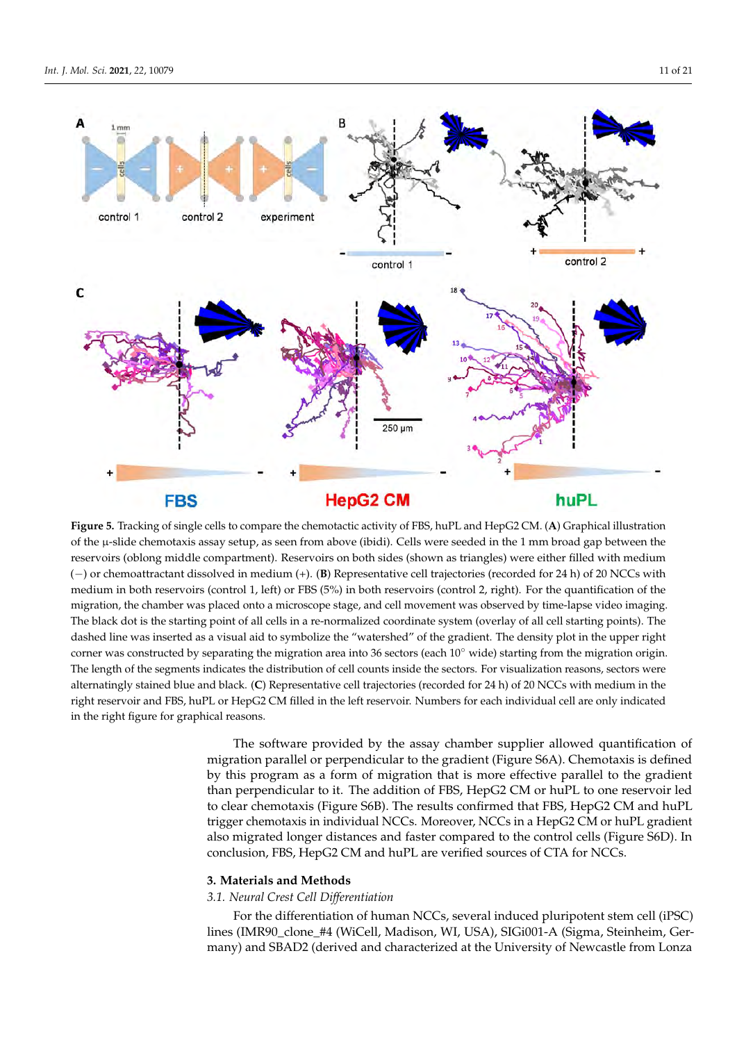<span id="page-10-0"></span>

**Figure 5.** Tracking of single cells to compare the chemotactic activity of FBS, huPL and HepG2 CM. (**A**) Graphical illustration of the μ-slide chemotaxis assay setup, as seen from above (ibidi). Cells were seeded in the 1 mm broad gap between the reservoirs (oblong middle compartment). Reservoirs on both sides (shown as triangles) were either filled with medium (-) or chemoattractant dissolved in medium (+). (B) Representative cell trajectories (recorded for 24 h) of 20 NCCs with medium in both reservoirs (control 1, left) or FBS (5%) in both reservoirs (control 2, right). For the quantification of the migration, the chamber was placed onto a microscope stage, and cell movement was observed by time-lapse video imaging. video imaging. The black dot is the starting point of all cells in a re-normalized coordinate system (overlay of all cell starting points). The dashed line was inserted as a visual aid to symbolize the "watershed" of the gradient. The density The black dot is the starting point of all cells in a re-normalized coordinate system (overlay of all cell starting points). The dashed line was inserted as a visual aid to symbolize the "watershed" of the gradient. The density plot in the upper right corner was constructed by separating the migration area into 36 sectors (each  $10^{\circ}$  wide) starting from the migration origin. The length of the segments indicates the distribution of cell counts inside the sectors. For visualization reasons, sectors were alternatingly stained blue and black. (C) Representative cell trajectories (recorded for 24 h) of 20 NCCs with medium in the right reservoir and FBS, huPL or HepG2 CM filled in the left reservoir. Numbers for each individual cell are only indicated in the right figure for graphical reasons.

> The software provided by the assay chamber supplier allowed quantification of Inglation plurinot of perpendicular to the general term (ipsure corr). Chemiciation is defined<br>by this program as a form of migration that is more effective parallel to the gradient Figure 2 (Madison, Madison, Madison, Madison, Wichinesen, William perpendicular to it. The addition of FBS, HepG2 CM or huPL to one reservoir led to clear chemotaxis (Figure S6B). The results confirmed that FBS, HepG2 CM and huPL trigger chemotaxis in individual NCCs. Moreover, NCCs in a HepG2 CM or huPL gradient also migrated longer distances and faster compared to the control cells (Figure S6D). In conclusion, FBS, HepG2 CM and huPL are verified sources of CTA for NCCs.  $S_{\text{max}}$  in estential 8 (E8) medium (DMEM/F12 supplemented with  $\mathcal{L}$  supplemented with  $\mathcal{L}$  supplemented with  $\mathcal{L}$  supplemented with  $\mathcal{L}$  supplemented with  $\mathcal{L}$  supplemented with  $\mathcal{L}$  supplemented migration parallel or perpendicular to the gradient (Figure S6A). Chemotaxis is defined

## **3. Materials and Methods**

### *3.1. Neural Crest Cell Differentiation*

For the differentiation of human NCCs, several induced pluripotent stem cell (iPSC) lines (IMR90\_clone\_#4 (WiCell, Madison, WI, USA), SIGi001-A (Sigma, Steinheim, Germany) and SBAD2 (derived and characterized at the University of Newcastle from Lonza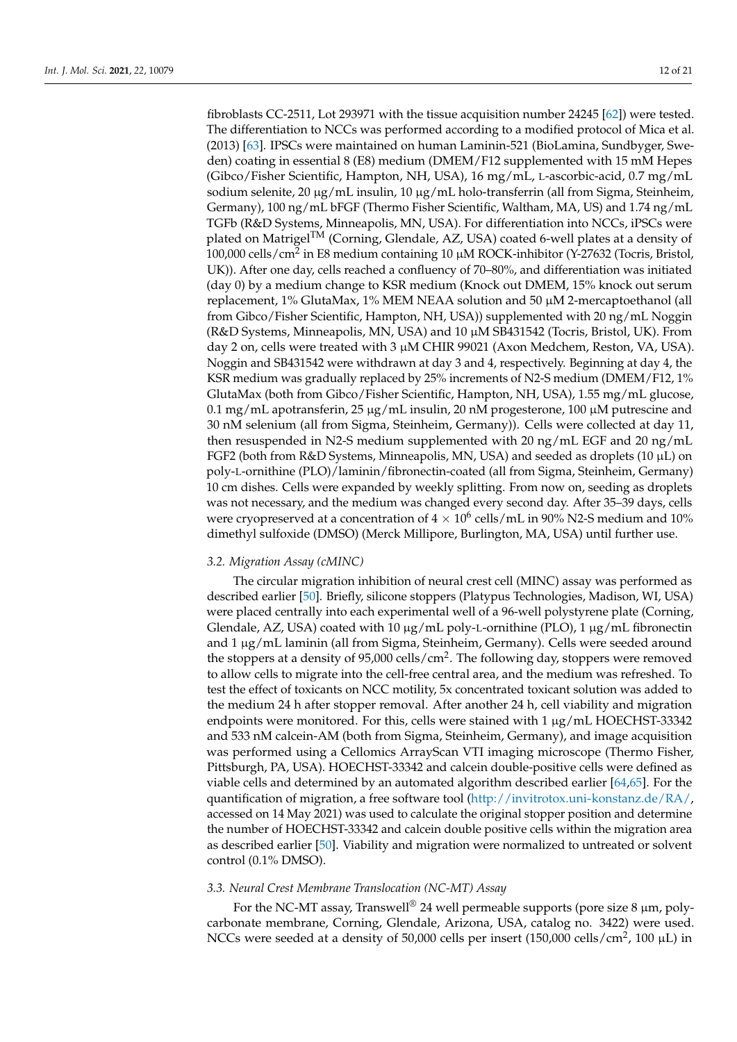fibroblasts CC-2511, Lot 293971 with the tissue acquisition number 24245 [\[62\]](#page-20-14)) were tested. The differentiation to NCCs was performed according to a modified protocol of Mica et al. (2013) [\[63\]](#page-20-15). IPSCs were maintained on human Laminin-521 (BioLamina, Sundbyger, Sweden) coating in essential 8 (E8) medium (DMEM/F12 supplemented with 15 mM Hepes (Gibco/Fisher Scientific, Hampton, NH, USA), 16 mg/mL, L-ascorbic-acid, 0.7 mg/mL sodium selenite, 20 µg/mL insulin, 10 µg/mL holo-transferrin (all from Sigma, Steinheim, Germany), 100 ng/mL bFGF (Thermo Fisher Scientific, Waltham, MA, US) and 1.74 ng/mL TGFb (R&D Systems, Minneapolis, MN, USA). For differentiation into NCCs, iPSCs were plated on Matrigel<sup>TM</sup> (Corning, Glendale, AZ, USA) coated 6-well plates at a density of 100,000 cells/cm<sup>2</sup> in E8 medium containing 10 μM ROCK-inhibitor (Y-27632 (Tocris, Bristol, UK)). After one day, cells reached a confluency of 70–80%, and differentiation was initiated (day 0) by a medium change to KSR medium (Knock out DMEM, 15% knock out serum replacement,  $1\%$  GlutaMax,  $1\%$  MEM NEAA solution and  $50 \mu$ M 2-mercaptoethanol (all from Gibco/Fisher Scientific, Hampton, NH, USA)) supplemented with 20 ng/mL Noggin (R&D Systems, Minneapolis, MN, USA) and 10 µM SB431542 (Tocris, Bristol, UK). From day 2 on, cells were treated with 3 µM CHIR 99021 (Axon Medchem, Reston, VA, USA). Noggin and SB431542 were withdrawn at day 3 and 4, respectively. Beginning at day 4, the KSR medium was gradually replaced by 25% increments of N2-S medium (DMEM/F12, 1% GlutaMax (both from Gibco/Fisher Scientific, Hampton, NH, USA), 1.55 mg/mL glucose,  $0.1$  mg/mL apotransferin, 25  $\mu$ g/mL insulin, 20 nM progesterone, 100  $\mu$ M putrescine and 30 nM selenium (all from Sigma, Steinheim, Germany)). Cells were collected at day 11, then resuspended in N2-S medium supplemented with 20 ng/mL EGF and 20 ng/mL FGF2 (both from R&D Systems, Minneapolis, MN, USA) and seeded as droplets (10  $\mu$ L) on poly-L-ornithine (PLO)/laminin/fibronectin-coated (all from Sigma, Steinheim, Germany) 10 cm dishes. Cells were expanded by weekly splitting. From now on, seeding as droplets was not necessary, and the medium was changed every second day. After 35–39 days, cells were cryopreserved at a concentration of 4  $\times$   $10^6$  cells/mL in 90% N2-S medium and 10% dimethyl sulfoxide (DMSO) (Merck Millipore, Burlington, MA, USA) until further use.

## *3.2. Migration Assay (cMINC)*

The circular migration inhibition of neural crest cell (MINC) assay was performed as described earlier [\[50\]](#page-20-3). Briefly, silicone stoppers (Platypus Technologies, Madison, WI, USA) were placed centrally into each experimental well of a 96-well polystyrene plate (Corning, Glendale, AZ, USA) coated with 10  $\mu$ g/mL poly-L-ornithine (PLO), 1  $\mu$ g/mL fibronectin and 1 µg/mL laminin (all from Sigma, Steinheim, Germany). Cells were seeded around the stoppers at a density of 95,000 cells/cm<sup>2</sup>. The following day, stoppers were removed to allow cells to migrate into the cell-free central area, and the medium was refreshed. To test the effect of toxicants on NCC motility, 5x concentrated toxicant solution was added to the medium 24 h after stopper removal. After another 24 h, cell viability and migration endpoints were monitored. For this, cells were stained with 1  $\mu$ g/mL HOECHST-33342 and 533 nM calcein-AM (both from Sigma, Steinheim, Germany), and image acquisition was performed using a Cellomics ArrayScan VTI imaging microscope (Thermo Fisher, Pittsburgh, PA, USA). HOECHST-33342 and calcein double-positive cells were defined as viable cells and determined by an automated algorithm described earlier [\[64](#page-20-16)[,65\]](#page-20-17). For the quantification of migration, a free software tool  $\frac{http://invitrotox.uni-konstanz.de/RA/}{$ accessed on 14 May 2021) was used to calculate the original stopper position and determine the number of HOECHST-33342 and calcein double positive cells within the migration area as described earlier [\[50\]](#page-20-3). Viability and migration were normalized to untreated or solvent control (0.1% DMSO).

## *3.3. Neural Crest Membrane Translocation (NC-MT) Assay*

For the NC-MT assay, Transwell<sup>®</sup> 24 well permeable supports (pore size 8  $\mu$ m, polycarbonate membrane, Corning, Glendale, Arizona, USA, catalog no. 3422) were used. NCCs were seeded at a density of 50,000 cells per insert (150,000 cells/cm<sup>2</sup>, 100  $\mu$ L) in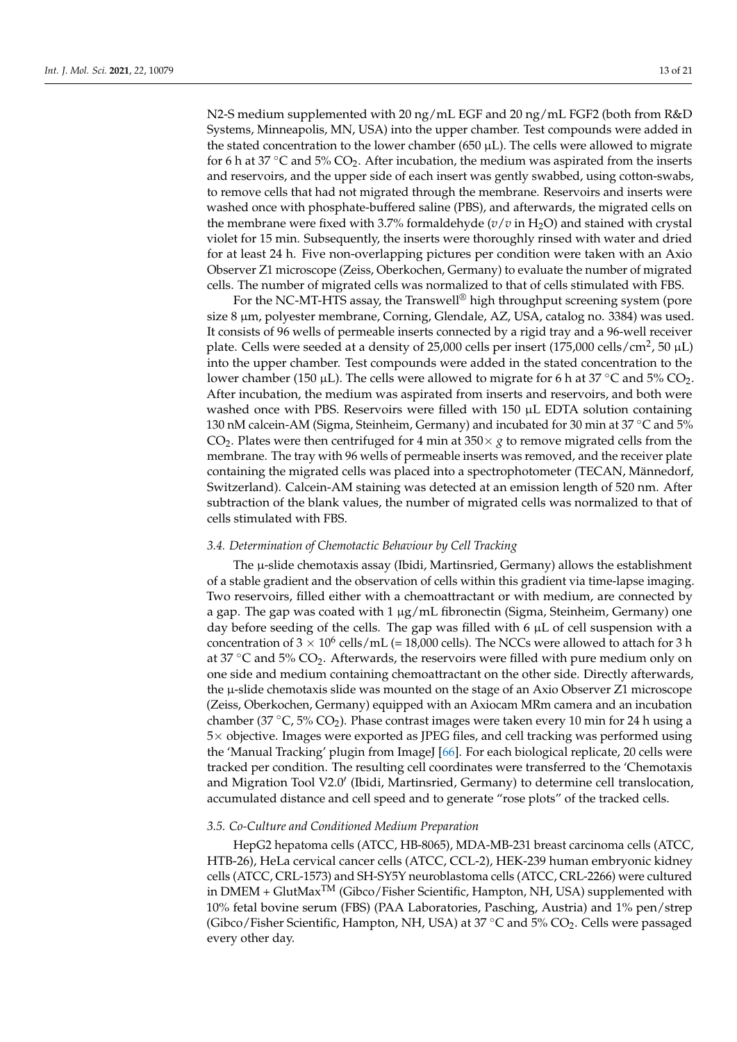N2-S medium supplemented with 20 ng/mL EGF and 20 ng/mL FGF2 (both from R&D Systems, Minneapolis, MN, USA) into the upper chamber. Test compounds were added in the stated concentration to the lower chamber (650  $\mu$ L). The cells were allowed to migrate for 6 h at 37  $\degree$ C and 5% CO<sub>2</sub>. After incubation, the medium was aspirated from the inserts and reservoirs, and the upper side of each insert was gently swabbed, using cotton-swabs, to remove cells that had not migrated through the membrane. Reservoirs and inserts were washed once with phosphate-buffered saline (PBS), and afterwards, the migrated cells on the membrane were fixed with 3.7% formaldehyde  $(v/v$  in H<sub>2</sub>O) and stained with crystal violet for 15 min. Subsequently, the inserts were thoroughly rinsed with water and dried for at least 24 h. Five non-overlapping pictures per condition were taken with an Axio Observer Z1 microscope (Zeiss, Oberkochen, Germany) to evaluate the number of migrated cells. The number of migrated cells was normalized to that of cells stimulated with FBS.

For the NC-MT-HTS assay, the Transwell<sup>®</sup> high throughput screening system (pore size 8 µm, polyester membrane, Corning, Glendale, AZ, USA, catalog no. 3384) was used. It consists of 96 wells of permeable inserts connected by a rigid tray and a 96-well receiver plate. Cells were seeded at a density of 25,000 cells per insert (175,000 cells/cm<sup>2</sup>, 50  $\mu$ L) into the upper chamber. Test compounds were added in the stated concentration to the lower chamber (150 µL). The cells were allowed to migrate for 6 h at 37 °C and 5% CO<sub>2</sub>. After incubation, the medium was aspirated from inserts and reservoirs, and both were washed once with PBS. Reservoirs were filled with 150  $\mu$ L EDTA solution containing 130 nM calcein-AM (Sigma, Steinheim, Germany) and incubated for 30 min at 37 °C and 5% CO<sub>2</sub>. Plates were then centrifuged for 4 min at  $350 \times g$  to remove migrated cells from the membrane. The tray with 96 wells of permeable inserts was removed, and the receiver plate containing the migrated cells was placed into a spectrophotometer (TECAN, Männedorf, Switzerland). Calcein-AM staining was detected at an emission length of 520 nm. After subtraction of the blank values, the number of migrated cells was normalized to that of cells stimulated with FBS.

## *3.4. Determination of Chemotactic Behaviour by Cell Tracking*

The  $\mu$ -slide chemotaxis assay (Ibidi, Martinsried, Germany) allows the establishment of a stable gradient and the observation of cells within this gradient via time-lapse imaging. Two reservoirs, filled either with a chemoattractant or with medium, are connected by a gap. The gap was coated with  $1 \mu g/mL$  fibronectin (Sigma, Steinheim, Germany) one day before seeding of the cells. The gap was filled with  $6 \mu L$  of cell suspension with a concentration of  $3 \times 10^6$  cells/mL (= 18,000 cells). The NCCs were allowed to attach for 3 h at 37  $\degree$ C and 5% CO<sub>2</sub>. Afterwards, the reservoirs were filled with pure medium only on one side and medium containing chemoattractant on the other side. Directly afterwards, the µ-slide chemotaxis slide was mounted on the stage of an Axio Observer Z1 microscope (Zeiss, Oberkochen, Germany) equipped with an Axiocam MRm camera and an incubation chamber (37 °C, 5% CO<sub>2</sub>). Phase contrast images were taken every 10 min for 24 h using a 5× objective. Images were exported as JPEG files, and cell tracking was performed using the 'Manual Tracking' plugin from ImageJ [\[66\]](#page-20-18). For each biological replicate, 20 cells were tracked per condition. The resulting cell coordinates were transferred to the 'Chemotaxis and Migration Tool V2.0' (Ibidi, Martinsried, Germany) to determine cell translocation, accumulated distance and cell speed and to generate "rose plots" of the tracked cells.

## *3.5. Co-Culture and Conditioned Medium Preparation*

HepG2 hepatoma cells (ATCC, HB-8065), MDA-MB-231 breast carcinoma cells (ATCC, HTB-26), HeLa cervical cancer cells (ATCC, CCL-2), HEK-239 human embryonic kidney cells (ATCC, CRL-1573) and SH-SY5Y neuroblastoma cells (ATCC, CRL-2266) were cultured in DMEM + GlutMax<sup>TM</sup> (Gibco/Fisher Scientific, Hampton, NH, USA) supplemented with 10% fetal bovine serum (FBS) (PAA Laboratories, Pasching, Austria) and 1% pen/strep (Gibco/Fisher Scientific, Hampton, NH, USA) at 37 °C and 5%  $CO<sub>2</sub>$ . Cells were passaged every other day.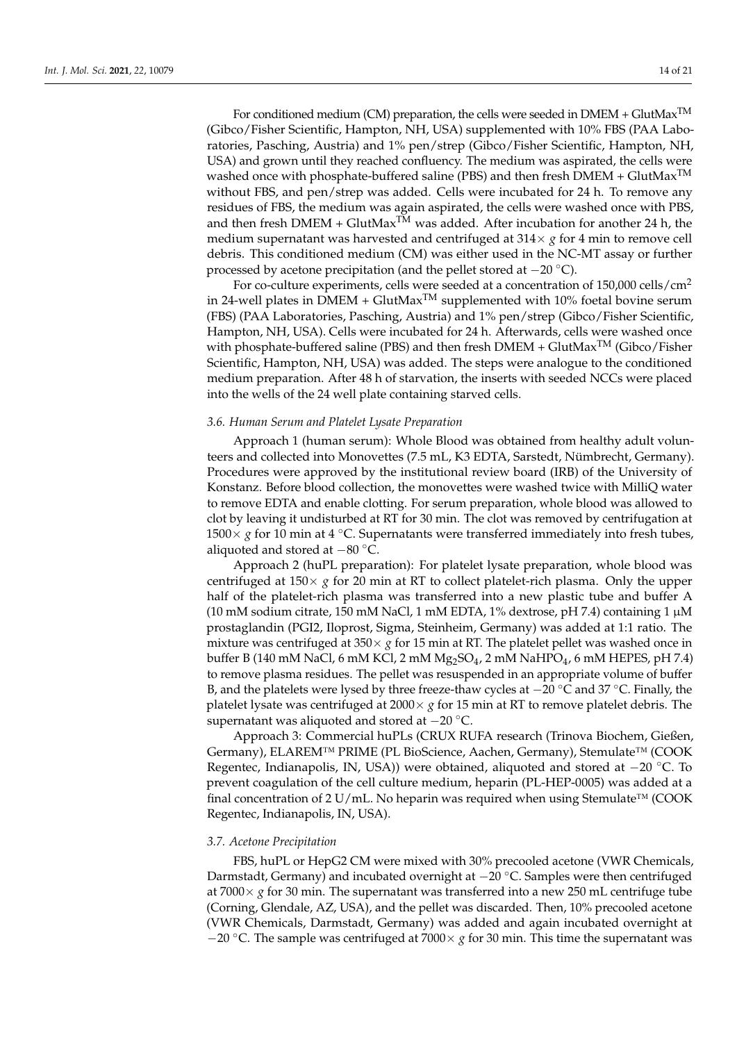For conditioned medium (CM) preparation, the cells were seeded in  $DMEM + GlutMax^{TM}$ (Gibco/Fisher Scientific, Hampton, NH, USA) supplemented with 10% FBS (PAA Laboratories, Pasching, Austria) and 1% pen/strep (Gibco/Fisher Scientific, Hampton, NH, USA) and grown until they reached confluency. The medium was aspirated, the cells were washed once with phosphate-buffered saline (PBS) and then fresh DMEM + GlutMax<sup>TM</sup> without FBS, and pen/strep was added. Cells were incubated for 24 h. To remove any residues of FBS, the medium was again aspirated, the cells were washed once with PBS, and then fresh DMEM + GlutMax<sup>TM</sup> was added. After incubation for another 24 h, the medium supernatant was harvested and centrifuged at  $314 \times g$  for 4 min to remove cell debris. This conditioned medium (CM) was either used in the NC-MT assay or further processed by acetone precipitation (and the pellet stored at −20 ◦C).

For co-culture experiments, cells were seeded at a concentration of 150,000 cells/cm<sup>2</sup> in 24-well plates in DMEM + GlutMax<sup>TM</sup> supplemented with 10% foetal bovine serum (FBS) (PAA Laboratories, Pasching, Austria) and 1% pen/strep (Gibco/Fisher Scientific, Hampton, NH, USA). Cells were incubated for 24 h. Afterwards, cells were washed once with phosphate-buffered saline (PBS) and then fresh DMEM + GlutMax<sup>TM</sup> (Gibco/Fisher Scientific, Hampton, NH, USA) was added. The steps were analogue to the conditioned medium preparation. After 48 h of starvation, the inserts with seeded NCCs were placed into the wells of the 24 well plate containing starved cells.

#### *3.6. Human Serum and Platelet Lysate Preparation*

Approach 1 (human serum): Whole Blood was obtained from healthy adult volunteers and collected into Monovettes (7.5 mL, K3 EDTA, Sarstedt, Nümbrecht, Germany). Procedures were approved by the institutional review board (IRB) of the University of Konstanz. Before blood collection, the monovettes were washed twice with MilliQ water to remove EDTA and enable clotting. For serum preparation, whole blood was allowed to clot by leaving it undisturbed at RT for 30 min. The clot was removed by centrifugation at 1500 $\times$  *g* for 10 min at 4 °C. Supernatants were transferred immediately into fresh tubes, aliquoted and stored at −80 ◦C.

Approach 2 (huPL preparation): For platelet lysate preparation, whole blood was centrifuged at  $150 \times g$  for 20 min at RT to collect platelet-rich plasma. Only the upper half of the platelet-rich plasma was transferred into a new plastic tube and buffer A (10 mM sodium citrate, 150 mM NaCl, 1 mM EDTA, 1% dextrose, pH 7.4) containing 1  $\mu$ M prostaglandin (PGI2, Iloprost, Sigma, Steinheim, Germany) was added at 1:1 ratio. The mixture was centrifuged at  $350 \times g$  for 15 min at RT. The platelet pellet was washed once in buffer B (140 mM NaCl, 6 mM KCl, 2 mM  $Mg_2SO_4$ , 2 mM NaHPO<sub>4</sub>, 6 mM HEPES, pH 7.4) to remove plasma residues. The pellet was resuspended in an appropriate volume of buffer B, and the platelets were lysed by three freeze-thaw cycles at −20 ◦C and 37 ◦C. Finally, the platelet lysate was centrifuged at  $2000 \times g$  for 15 min at RT to remove platelet debris. The supernatant was aliquoted and stored at −20 ◦C.

Approach 3: Commercial huPLs (CRUX RUFA research (Trinova Biochem, Gießen, Germany), ELAREM™ PRIME (PL BioScience, Aachen, Germany), Stemulate™ (COOK Regentec, Indianapolis, IN, USA)) were obtained, aliquoted and stored at −20 ◦C. To prevent coagulation of the cell culture medium, heparin (PL-HEP-0005) was added at a final concentration of 2 U/mL. No heparin was required when using Stemulate<sup>™</sup> (COOK Regentec, Indianapolis, IN, USA).

#### *3.7. Acetone Precipitation*

FBS, huPL or HepG2 CM were mixed with 30% precooled acetone (VWR Chemicals, Darmstadt, Germany) and incubated overnight at −20 ◦C. Samples were then centrifuged at  $7000 \times g$  for 30 min. The supernatant was transferred into a new 250 mL centrifuge tube (Corning, Glendale, AZ, USA), and the pellet was discarded. Then, 10% precooled acetone (VWR Chemicals, Darmstadt, Germany) was added and again incubated overnight at −20 ◦C. The sample was centrifuged at 7000× *g* for 30 min. This time the supernatant was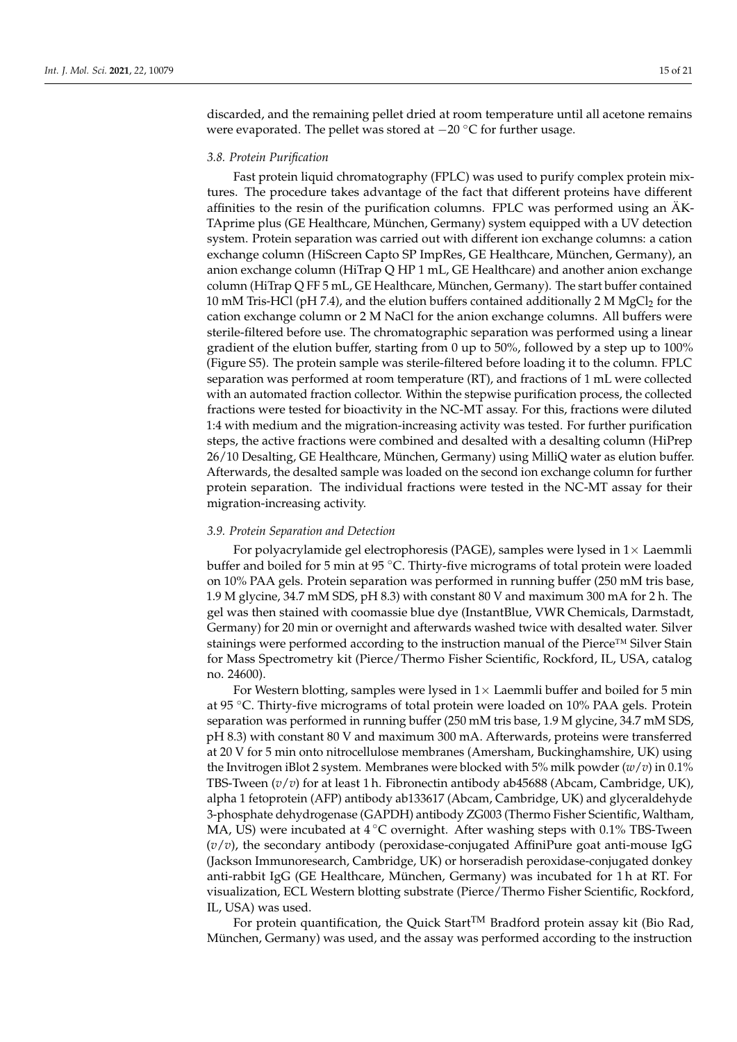discarded, and the remaining pellet dried at room temperature until all acetone remains were evaporated. The pellet was stored at  $-20$  °C for further usage.

#### *3.8. Protein Purification*

Fast protein liquid chromatography (FPLC) was used to purify complex protein mixtures. The procedure takes advantage of the fact that different proteins have different affinities to the resin of the purification columns. FPLC was performed using an ÄK-TAprime plus (GE Healthcare, München, Germany) system equipped with a UV detection system. Protein separation was carried out with different ion exchange columns: a cation exchange column (HiScreen Capto SP ImpRes, GE Healthcare, München, Germany), an anion exchange column (HiTrap Q HP 1 mL, GE Healthcare) and another anion exchange column (HiTrap Q FF 5 mL, GE Healthcare, München, Germany). The start buffer contained 10 mM Tris-HCl (pH 7.4), and the elution buffers contained additionally 2 M MgCl<sub>2</sub> for the cation exchange column or 2 M NaCl for the anion exchange columns. All buffers were sterile-filtered before use. The chromatographic separation was performed using a linear gradient of the elution buffer, starting from 0 up to 50%, followed by a step up to 100% (Figure S5). The protein sample was sterile-filtered before loading it to the column. FPLC separation was performed at room temperature (RT), and fractions of 1 mL were collected with an automated fraction collector. Within the stepwise purification process, the collected fractions were tested for bioactivity in the NC-MT assay. For this, fractions were diluted 1:4 with medium and the migration-increasing activity was tested. For further purification steps, the active fractions were combined and desalted with a desalting column (HiPrep 26/10 Desalting, GE Healthcare, München, Germany) using MilliQ water as elution buffer. Afterwards, the desalted sample was loaded on the second ion exchange column for further protein separation. The individual fractions were tested in the NC-MT assay for their migration-increasing activity.

#### *3.9. Protein Separation and Detection*

For polyacrylamide gel electrophoresis (PAGE), samples were lysed in  $1\times$  Laemmli buffer and boiled for 5 min at 95 °C. Thirty-five micrograms of total protein were loaded on 10% PAA gels. Protein separation was performed in running buffer (250 mM tris base, 1.9 M glycine, 34.7 mM SDS, pH 8.3) with constant 80 V and maximum 300 mA for 2 h. The gel was then stained with coomassie blue dye (InstantBlue, VWR Chemicals, Darmstadt, Germany) for 20 min or overnight and afterwards washed twice with desalted water. Silver stainings were performed according to the instruction manual of the Pierce™ Silver Stain for Mass Spectrometry kit (Pierce/Thermo Fisher Scientific, Rockford, IL, USA, catalog no. 24600).

For Western blotting, samples were lysed in  $1\times$  Laemmli buffer and boiled for 5 min at 95 ◦C. Thirty-five micrograms of total protein were loaded on 10% PAA gels. Protein separation was performed in running buffer (250 mM tris base, 1.9 M glycine, 34.7 mM SDS, pH 8.3) with constant 80 V and maximum 300 mA. Afterwards, proteins were transferred at 20 V for 5 min onto nitrocellulose membranes (Amersham, Buckinghamshire, UK) using the Invitrogen iBlot 2 system. Membranes were blocked with 5% milk powder (*w*/*v*) in 0.1% TBS-Tween (*v*/*v*) for at least 1 h. Fibronectin antibody ab45688 (Abcam, Cambridge, UK), alpha 1 fetoprotein (AFP) antibody ab133617 (Abcam, Cambridge, UK) and glyceraldehyde 3-phosphate dehydrogenase (GAPDH) antibody ZG003 (Thermo Fisher Scientific, Waltham, MA, US) were incubated at  $4^{\circ}$ C overnight. After washing steps with 0.1% TBS-Tween (*v*/*v*), the secondary antibody (peroxidase-conjugated AffiniPure goat anti-mouse IgG (Jackson Immunoresearch, Cambridge, UK) or horseradish peroxidase-conjugated donkey anti-rabbit IgG (GE Healthcare, München, Germany) was incubated for 1 h at RT. For visualization, ECL Western blotting substrate (Pierce/Thermo Fisher Scientific, Rockford, IL, USA) was used.

For protein quantification, the Quick Start<sup>TM</sup> Bradford protein assay kit (Bio Rad, München, Germany) was used, and the assay was performed according to the instruction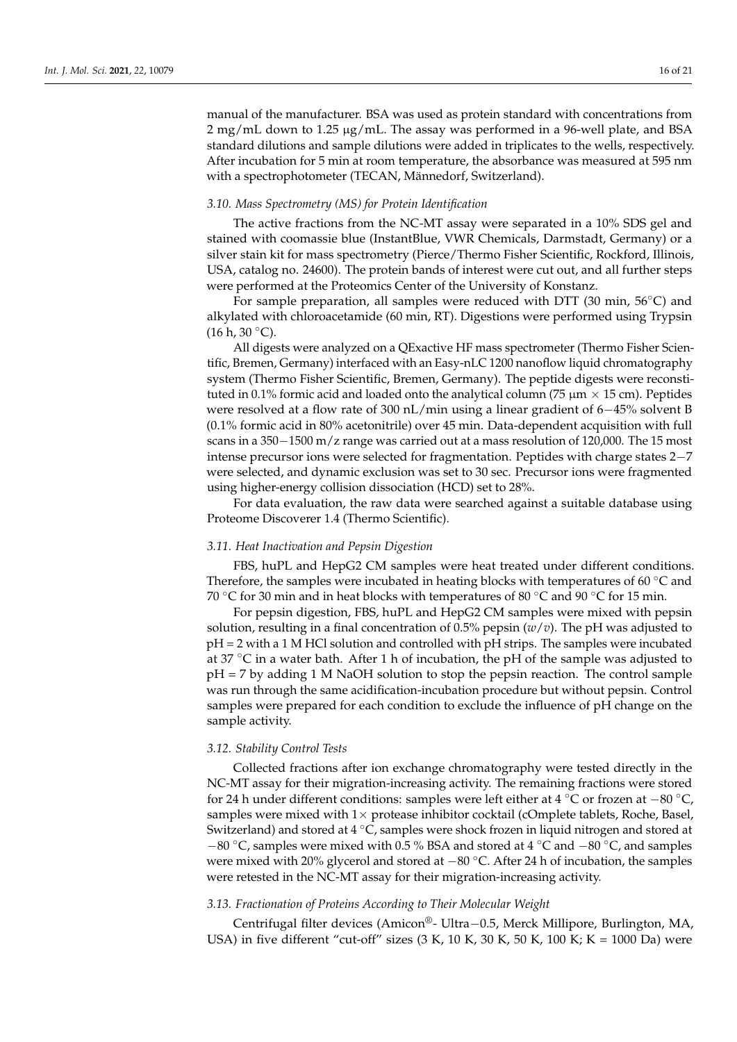manual of the manufacturer. BSA was used as protein standard with concentrations from 2 mg/mL down to 1.25 µg/mL. The assay was performed in a 96-well plate, and BSA standard dilutions and sample dilutions were added in triplicates to the wells, respectively. After incubation for 5 min at room temperature, the absorbance was measured at 595 nm with a spectrophotometer (TECAN, Männedorf, Switzerland).

## *3.10. Mass Spectrometry (MS) for Protein Identification*

The active fractions from the NC-MT assay were separated in a 10% SDS gel and stained with coomassie blue (InstantBlue, VWR Chemicals, Darmstadt, Germany) or a silver stain kit for mass spectrometry (Pierce/Thermo Fisher Scientific, Rockford, Illinois, USA, catalog no. 24600). The protein bands of interest were cut out, and all further steps were performed at the Proteomics Center of the University of Konstanz.

For sample preparation, all samples were reduced with DTT (30 min, 56◦C) and alkylated with chloroacetamide (60 min, RT). Digestions were performed using Trypsin  $(16 \text{ h}, 30 \degree \text{C}).$ 

All digests were analyzed on a QExactive HF mass spectrometer (Thermo Fisher Scientific, Bremen, Germany) interfaced with an Easy-nLC 1200 nanoflow liquid chromatography system (Thermo Fisher Scientific, Bremen, Germany). The peptide digests were reconstituted in 0.1% formic acid and loaded onto the analytical column (75  $\mu$ m  $\times$  15 cm). Peptides were resolved at a flow rate of 300 nL/min using a linear gradient of 6−45% solvent B (0.1% formic acid in 80% acetonitrile) over 45 min. Data-dependent acquisition with full scans in a 350−1500 m/z range was carried out at a mass resolution of 120,000. The 15 most intense precursor ions were selected for fragmentation. Peptides with charge states 2−7 were selected, and dynamic exclusion was set to 30 sec. Precursor ions were fragmented using higher-energy collision dissociation (HCD) set to 28%.

For data evaluation, the raw data were searched against a suitable database using Proteome Discoverer 1.4 (Thermo Scientific).

## *3.11. Heat Inactivation and Pepsin Digestion*

FBS, huPL and HepG2 CM samples were heat treated under different conditions. Therefore, the samples were incubated in heating blocks with temperatures of 60 $\degree$ C and 70 °C for 30 min and in heat blocks with temperatures of 80 °C and 90 °C for 15 min.

For pepsin digestion, FBS, huPL and HepG2 CM samples were mixed with pepsin solution, resulting in a final concentration of 0.5% pepsin (*w*/*v*). The pH was adjusted to pH = 2 with a 1 M HCl solution and controlled with pH strips. The samples were incubated at 37  $\degree$ C in a water bath. After 1 h of incubation, the pH of the sample was adjusted to pH = 7 by adding 1 M NaOH solution to stop the pepsin reaction. The control sample was run through the same acidification-incubation procedure but without pepsin. Control samples were prepared for each condition to exclude the influence of pH change on the sample activity.

#### *3.12. Stability Control Tests*

Collected fractions after ion exchange chromatography were tested directly in the NC-MT assay for their migration-increasing activity. The remaining fractions were stored for 24 h under different conditions: samples were left either at 4 ◦C or frozen at −80 ◦C, samples were mixed with  $1\times$  protease inhibitor cocktail (cOmplete tablets, Roche, Basel, Switzerland) and stored at 4 ◦C, samples were shock frozen in liquid nitrogen and stored at −80 °C, samples were mixed with 0.5 % BSA and stored at 4 °C and −80 °C, and samples were mixed with 20% glycerol and stored at −80 °C. After 24 h of incubation, the samples were retested in the NC-MT assay for their migration-increasing activity.

## *3.13. Fractionation of Proteins According to Their Molecular Weight*

Centrifugal filter devices (Amicon®- Ultra−0.5, Merck Millipore, Burlington, MA, USA) in five different "cut-off" sizes  $(3 K, 10 K, 30 K, 50 K, 100 K; K = 1000 Da)$  were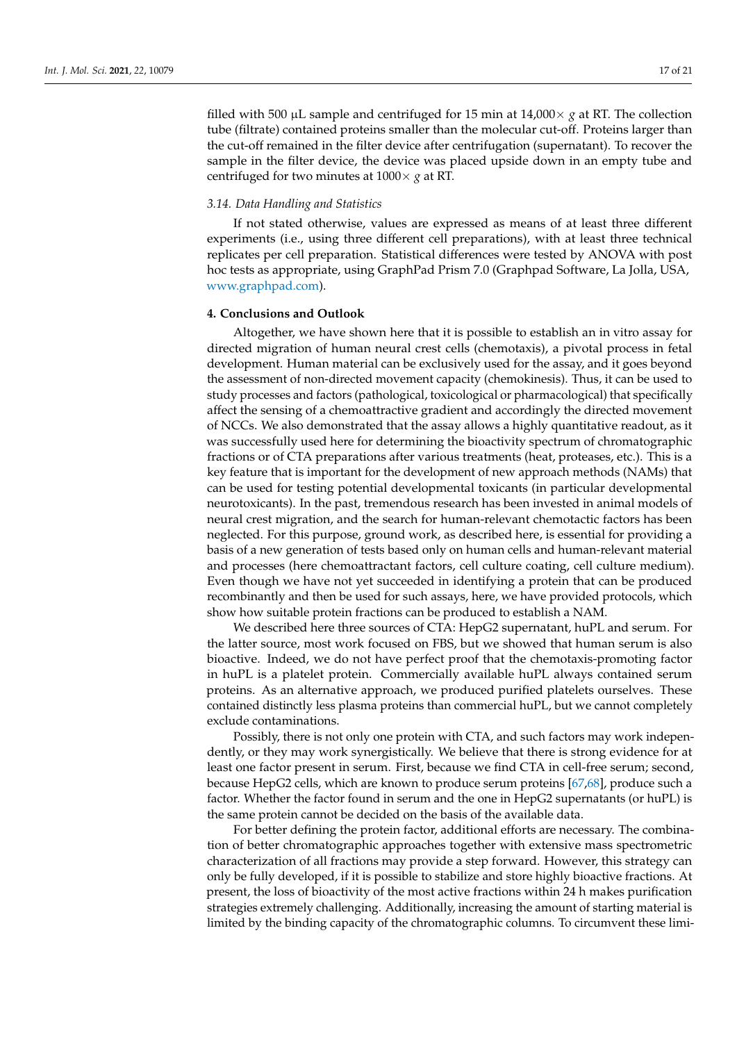filled with 500  $\mu$ L sample and centrifuged for 15 min at 14,000  $\times$  *g* at RT. The collection tube (filtrate) contained proteins smaller than the molecular cut-off. Proteins larger than the cut-off remained in the filter device after centrifugation (supernatant). To recover the sample in the filter device, the device was placed upside down in an empty tube and centrifuged for two minutes at 1000× *g* at RT.

## *3.14. Data Handling and Statistics*

If not stated otherwise, values are expressed as means of at least three different experiments (i.e., using three different cell preparations), with at least three technical replicates per cell preparation. Statistical differences were tested by ANOVA with post hoc tests as appropriate, using GraphPad Prism 7.0 (Graphpad Software, La Jolla, USA, [www.graphpad.com\)](www.graphpad.com).

## **4. Conclusions and Outlook**

Altogether, we have shown here that it is possible to establish an in vitro assay for directed migration of human neural crest cells (chemotaxis), a pivotal process in fetal development. Human material can be exclusively used for the assay, and it goes beyond the assessment of non-directed movement capacity (chemokinesis). Thus, it can be used to study processes and factors (pathological, toxicological or pharmacological) that specifically affect the sensing of a chemoattractive gradient and accordingly the directed movement of NCCs. We also demonstrated that the assay allows a highly quantitative readout, as it was successfully used here for determining the bioactivity spectrum of chromatographic fractions or of CTA preparations after various treatments (heat, proteases, etc.). This is a key feature that is important for the development of new approach methods (NAMs) that can be used for testing potential developmental toxicants (in particular developmental neurotoxicants). In the past, tremendous research has been invested in animal models of neural crest migration, and the search for human-relevant chemotactic factors has been neglected. For this purpose, ground work, as described here, is essential for providing a basis of a new generation of tests based only on human cells and human-relevant material and processes (here chemoattractant factors, cell culture coating, cell culture medium). Even though we have not yet succeeded in identifying a protein that can be produced recombinantly and then be used for such assays, here, we have provided protocols, which show how suitable protein fractions can be produced to establish a NAM.

We described here three sources of CTA: HepG2 supernatant, huPL and serum. For the latter source, most work focused on FBS, but we showed that human serum is also bioactive. Indeed, we do not have perfect proof that the chemotaxis-promoting factor in huPL is a platelet protein. Commercially available huPL always contained serum proteins. As an alternative approach, we produced purified platelets ourselves. These contained distinctly less plasma proteins than commercial huPL, but we cannot completely exclude contaminations.

Possibly, there is not only one protein with CTA, and such factors may work independently, or they may work synergistically. We believe that there is strong evidence for at least one factor present in serum. First, because we find CTA in cell-free serum; second, because HepG2 cells, which are known to produce serum proteins [\[67,](#page-20-19)[68\]](#page-20-20), produce such a factor. Whether the factor found in serum and the one in HepG2 supernatants (or huPL) is the same protein cannot be decided on the basis of the available data.

For better defining the protein factor, additional efforts are necessary. The combination of better chromatographic approaches together with extensive mass spectrometric characterization of all fractions may provide a step forward. However, this strategy can only be fully developed, if it is possible to stabilize and store highly bioactive fractions. At present, the loss of bioactivity of the most active fractions within 24 h makes purification strategies extremely challenging. Additionally, increasing the amount of starting material is limited by the binding capacity of the chromatographic columns. To circumvent these limi-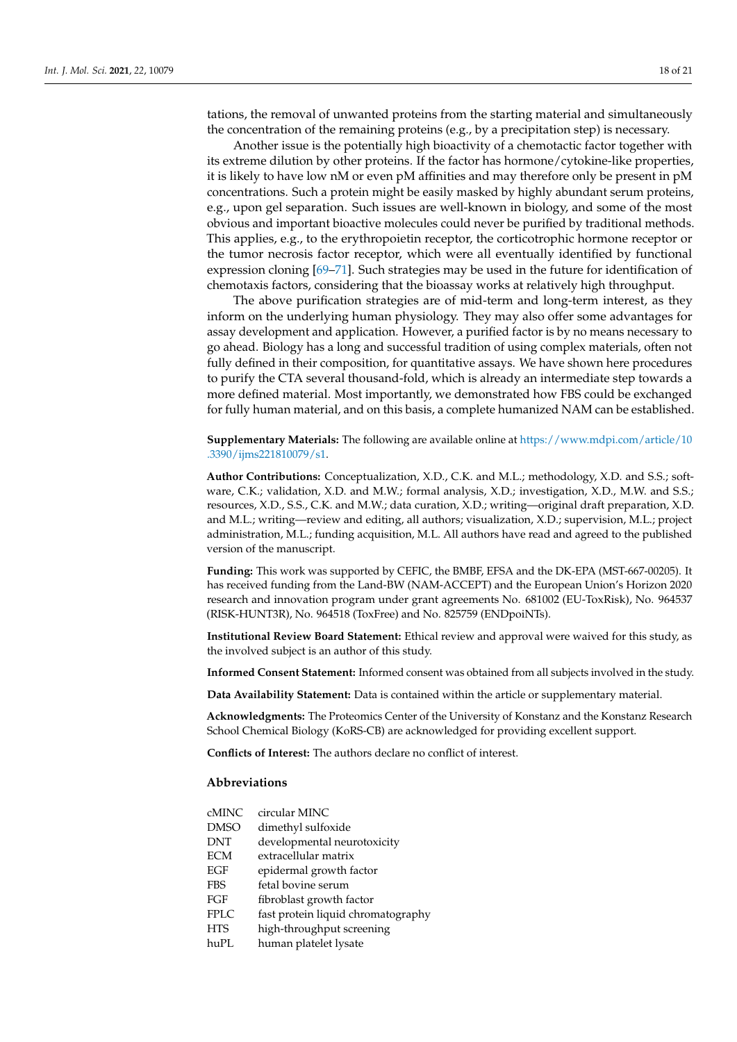Another issue is the potentially high bioactivity of a chemotactic factor together with its extreme dilution by other proteins. If the factor has hormone/cytokine-like properties, it is likely to have low nM or even pM affinities and may therefore only be present in pM concentrations. Such a protein might be easily masked by highly abundant serum proteins, e.g., upon gel separation. Such issues are well-known in biology, and some of the most obvious and important bioactive molecules could never be purified by traditional methods. This applies, e.g., to the erythropoietin receptor, the corticotrophic hormone receptor or the tumor necrosis factor receptor, which were all eventually identified by functional expression cloning [\[69–](#page-20-21)[71\]](#page-20-22). Such strategies may be used in the future for identification of chemotaxis factors, considering that the bioassay works at relatively high throughput.

The above purification strategies are of mid-term and long-term interest, as they inform on the underlying human physiology. They may also offer some advantages for assay development and application. However, a purified factor is by no means necessary to go ahead. Biology has a long and successful tradition of using complex materials, often not fully defined in their composition, for quantitative assays. We have shown here procedures to purify the CTA several thousand-fold, which is already an intermediate step towards a more defined material. Most importantly, we demonstrated how FBS could be exchanged for fully human material, and on this basis, a complete humanized NAM can be established.

**Supplementary Materials:** The following are available online at [https://www.mdpi.com/article/10](https://www.mdpi.com/article/10.3390/ijms221810079/s1) [.3390/ijms221810079/s1.](https://www.mdpi.com/article/10.3390/ijms221810079/s1)

**Author Contributions:** Conceptualization, X.D., C.K. and M.L.; methodology, X.D. and S.S.; software, C.K.; validation, X.D. and M.W.; formal analysis, X.D.; investigation, X.D., M.W. and S.S.; resources, X.D., S.S., C.K. and M.W.; data curation, X.D.; writing—original draft preparation, X.D. and M.L.; writing—review and editing, all authors; visualization, X.D.; supervision, M.L.; project administration, M.L.; funding acquisition, M.L. All authors have read and agreed to the published version of the manuscript.

**Funding:** This work was supported by CEFIC, the BMBF, EFSA and the DK-EPA (MST-667-00205). It has received funding from the Land-BW (NAM-ACCEPT) and the European Union's Horizon 2020 research and innovation program under grant agreements No. 681002 (EU-ToxRisk), No. 964537 (RISK-HUNT3R), No. 964518 (ToxFree) and No. 825759 (ENDpoiNTs).

**Institutional Review Board Statement:** Ethical review and approval were waived for this study, as the involved subject is an author of this study.

**Informed Consent Statement:** Informed consent was obtained from all subjects involved in the study.

**Data Availability Statement:** Data is contained within the article or supplementary material.

**Acknowledgments:** The Proteomics Center of the University of Konstanz and the Konstanz Research School Chemical Biology (KoRS-CB) are acknowledged for providing excellent support.

**Conflicts of Interest:** The authors declare no conflict of interest.

#### **Abbreviations**

| cMINC | circular MINC                      |
|-------|------------------------------------|
| DMSO  | dimethyl sulfoxide                 |
| DNT   | developmental neurotoxicity        |
| ECM   | extracellular matrix               |
| EGF   | epidermal growth factor            |
| FBS   | fetal bovine serum                 |
| FGF   | fibroblast growth factor           |
| FPLC  | fast protein liquid chromatography |
| HTS   | high-throughput screening          |
| huPL  | human platelet lysate              |
|       |                                    |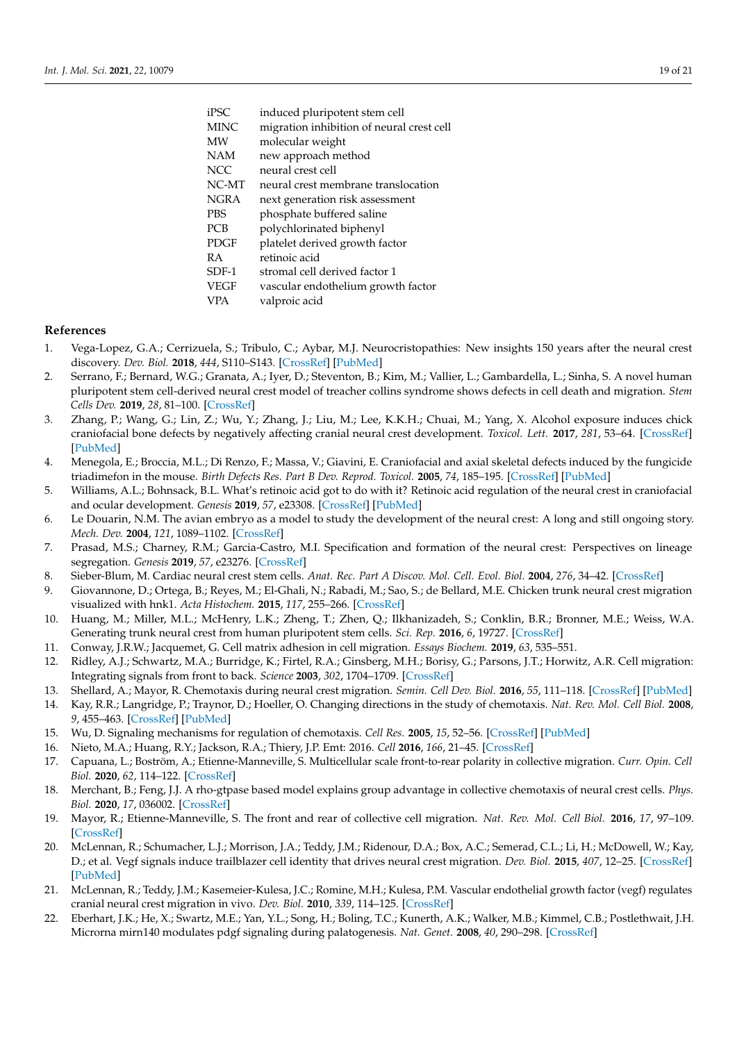| iPSC  | induced pluripotent stem cell             |
|-------|-------------------------------------------|
| MINC  | migration inhibition of neural crest cell |
| MW    | molecular weight                          |
| NAM   | new approach method                       |
| NCC   | neural crest cell                         |
| NC-MT | neural crest membrane translocation       |
| NGRA  | next generation risk assessment           |
| PBS   | phosphate buffered saline                 |
| PCB   | polychlorinated biphenyl                  |
| PDGF  | platelet derived growth factor            |
| RА    | retinoic acid                             |
| SDF-1 | stromal cell derived factor 1             |
| VEGF  | vascular endothelium growth factor        |
| VPA   | valproic acid                             |

## **References**

- <span id="page-18-0"></span>1. Vega-Lopez, G.A.; Cerrizuela, S.; Tribulo, C.; Aybar, M.J. Neurocristopathies: New insights 150 years after the neural crest discovery. *Dev. Biol.* **2018**, *444*, S110–S143. [\[CrossRef\]](http://doi.org/10.1016/j.ydbio.2018.05.013) [\[PubMed\]](http://www.ncbi.nlm.nih.gov/pubmed/29802835)
- <span id="page-18-1"></span>2. Serrano, F.; Bernard, W.G.; Granata, A.; Iyer, D.; Steventon, B.; Kim, M.; Vallier, L.; Gambardella, L.; Sinha, S. A novel human pluripotent stem cell-derived neural crest model of treacher collins syndrome shows defects in cell death and migration. *Stem Cells Dev.* **2019**, *28*, 81–100. [\[CrossRef\]](http://doi.org/10.1089/scd.2017.0234)
- <span id="page-18-2"></span>3. Zhang, P.; Wang, G.; Lin, Z.; Wu, Y.; Zhang, J.; Liu, M.; Lee, K.K.H.; Chuai, M.; Yang, X. Alcohol exposure induces chick craniofacial bone defects by negatively affecting cranial neural crest development. *Toxicol. Lett.* **2017**, *281*, 53–64. [\[CrossRef\]](http://doi.org/10.1016/j.toxlet.2017.09.010) [\[PubMed\]](http://www.ncbi.nlm.nih.gov/pubmed/28919490)
- <span id="page-18-3"></span>4. Menegola, E.; Broccia, M.L.; Di Renzo, F.; Massa, V.; Giavini, E. Craniofacial and axial skeletal defects induced by the fungicide triadimefon in the mouse. *Birth Defects Res. Part B Dev. Reprod. Toxicol.* **2005**, *74*, 185–195. [\[CrossRef\]](http://doi.org/10.1002/bdrb.20035) [\[PubMed\]](http://www.ncbi.nlm.nih.gov/pubmed/15834900)
- <span id="page-18-4"></span>5. Williams, A.L.; Bohnsack, B.L. What's retinoic acid got to do with it? Retinoic acid regulation of the neural crest in craniofacial and ocular development. *Genesis* **2019**, *57*, e23308. [\[CrossRef\]](http://doi.org/10.1002/dvg.23308) [\[PubMed\]](http://www.ncbi.nlm.nih.gov/pubmed/31157952)
- <span id="page-18-5"></span>6. Le Douarin, N.M. The avian embryo as a model to study the development of the neural crest: A long and still ongoing story. *Mech. Dev.* **2004**, *121*, 1089–1102. [\[CrossRef\]](http://doi.org/10.1016/j.mod.2004.06.003)
- <span id="page-18-6"></span>7. Prasad, M.S.; Charney, R.M.; Garcia-Castro, M.I. Specification and formation of the neural crest: Perspectives on lineage segregation. *Genesis* **2019**, *57*, e23276. [\[CrossRef\]](http://doi.org/10.1002/dvg.23276)
- <span id="page-18-7"></span>8. Sieber-Blum, M. Cardiac neural crest stem cells. *Anat. Rec. Part A Discov. Mol. Cell. Evol. Biol.* **2004**, *276*, 34–42. [\[CrossRef\]](http://doi.org/10.1002/ar.a.10132)
- <span id="page-18-8"></span>9. Giovannone, D.; Ortega, B.; Reyes, M.; El-Ghali, N.; Rabadi, M.; Sao, S.; de Bellard, M.E. Chicken trunk neural crest migration visualized with hnk1. *Acta Histochem.* **2015**, *117*, 255–266. [\[CrossRef\]](http://doi.org/10.1016/j.acthis.2015.03.002)
- <span id="page-18-9"></span>10. Huang, M.; Miller, M.L.; McHenry, L.K.; Zheng, T.; Zhen, Q.; Ilkhanizadeh, S.; Conklin, B.R.; Bronner, M.E.; Weiss, W.A. Generating trunk neural crest from human pluripotent stem cells. *Sci. Rep.* **2016**, *6*, 19727. [\[CrossRef\]](http://doi.org/10.1038/srep19727)
- <span id="page-18-10"></span>11. Conway, J.R.W.; Jacquemet, G. Cell matrix adhesion in cell migration. *Essays Biochem.* **2019**, *63*, 535–551.
- <span id="page-18-11"></span>12. Ridley, A.J.; Schwartz, M.A.; Burridge, K.; Firtel, R.A.; Ginsberg, M.H.; Borisy, G.; Parsons, J.T.; Horwitz, A.R. Cell migration: Integrating signals from front to back. *Science* **2003**, *302*, 1704–1709. [\[CrossRef\]](http://doi.org/10.1126/science.1092053)
- <span id="page-18-12"></span>13. Shellard, A.; Mayor, R. Chemotaxis during neural crest migration. *Semin. Cell Dev. Biol.* **2016**, *55*, 111–118. [\[CrossRef\]](http://doi.org/10.1016/j.semcdb.2016.01.031) [\[PubMed\]](http://www.ncbi.nlm.nih.gov/pubmed/26820523)
- <span id="page-18-13"></span>14. Kay, R.R.; Langridge, P.; Traynor, D.; Hoeller, O. Changing directions in the study of chemotaxis. *Nat. Rev. Mol. Cell Biol.* **2008**, *9*, 455–463. [\[CrossRef\]](http://doi.org/10.1038/nrm2419) [\[PubMed\]](http://www.ncbi.nlm.nih.gov/pubmed/18500256)
- <span id="page-18-14"></span>15. Wu, D. Signaling mechanisms for regulation of chemotaxis. *Cell Res.* **2005**, *15*, 52–56. [\[CrossRef\]](http://doi.org/10.1038/sj.cr.7290265) [\[PubMed\]](http://www.ncbi.nlm.nih.gov/pubmed/15686628)
- <span id="page-18-15"></span>16. Nieto, M.A.; Huang, R.Y.; Jackson, R.A.; Thiery, J.P. Emt: 2016. *Cell* **2016**, *166*, 21–45. [\[CrossRef\]](http://doi.org/10.1016/j.cell.2016.06.028)
- <span id="page-18-16"></span>17. Capuana, L.; Boström, A.; Etienne-Manneville, S. Multicellular scale front-to-rear polarity in collective migration. *Curr. Opin. Cell Biol.* **2020**, *62*, 114–122. [\[CrossRef\]](http://doi.org/10.1016/j.ceb.2019.10.001)
- <span id="page-18-17"></span>18. Merchant, B.; Feng, J.J. A rho-gtpase based model explains group advantage in collective chemotaxis of neural crest cells. *Phys. Biol.* **2020**, *17*, 036002. [\[CrossRef\]](http://doi.org/10.1088/1478-3975/ab71f1)
- <span id="page-18-18"></span>19. Mayor, R.; Etienne-Manneville, S. The front and rear of collective cell migration. *Nat. Rev. Mol. Cell Biol.* **2016**, *17*, 97–109. [\[CrossRef\]](http://doi.org/10.1038/nrm.2015.14)
- <span id="page-18-19"></span>20. McLennan, R.; Schumacher, L.J.; Morrison, J.A.; Teddy, J.M.; Ridenour, D.A.; Box, A.C.; Semerad, C.L.; Li, H.; McDowell, W.; Kay, D.; et al. Vegf signals induce trailblazer cell identity that drives neural crest migration. *Dev. Biol.* **2015**, *407*, 12–25. [\[CrossRef\]](http://doi.org/10.1016/j.ydbio.2015.08.011) [\[PubMed\]](http://www.ncbi.nlm.nih.gov/pubmed/26278036)
- <span id="page-18-20"></span>21. McLennan, R.; Teddy, J.M.; Kasemeier-Kulesa, J.C.; Romine, M.H.; Kulesa, P.M. Vascular endothelial growth factor (vegf) regulates cranial neural crest migration in vivo. *Dev. Biol.* **2010**, *339*, 114–125. [\[CrossRef\]](http://doi.org/10.1016/j.ydbio.2009.12.022)
- <span id="page-18-21"></span>22. Eberhart, J.K.; He, X.; Swartz, M.E.; Yan, Y.L.; Song, H.; Boling, T.C.; Kunerth, A.K.; Walker, M.B.; Kimmel, C.B.; Postlethwait, J.H. Microrna mirn140 modulates pdgf signaling during palatogenesis. *Nat. Genet.* **2008**, *40*, 290–298. [\[CrossRef\]](http://doi.org/10.1038/ng.82)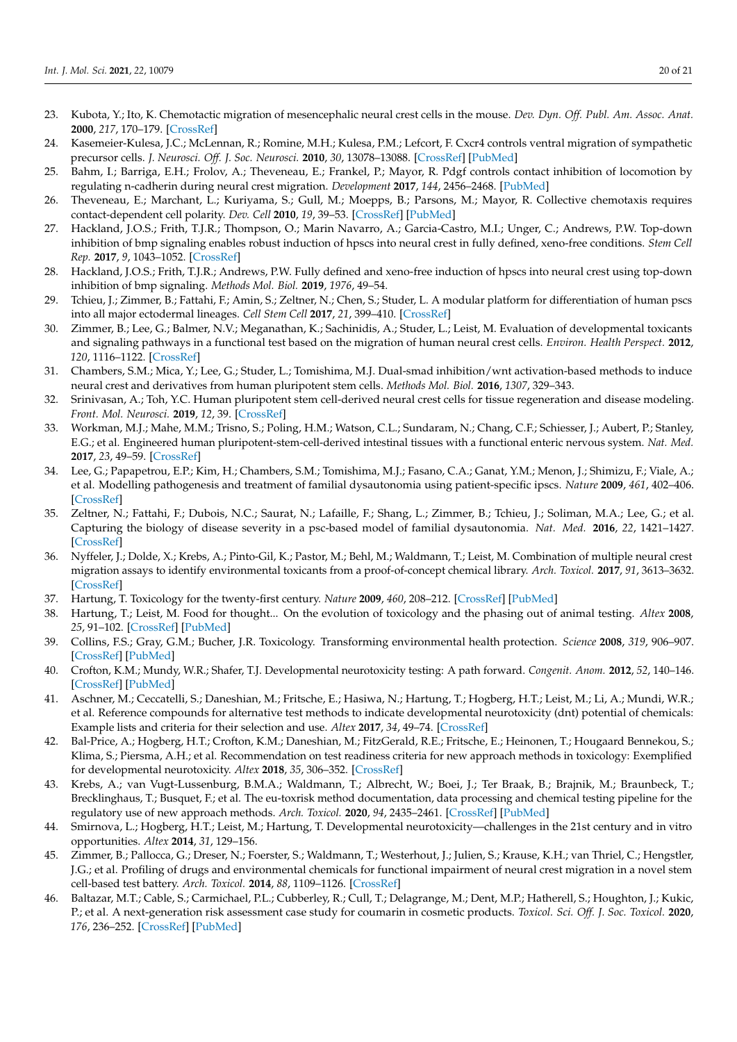- <span id="page-19-0"></span>23. Kubota, Y.; Ito, K. Chemotactic migration of mesencephalic neural crest cells in the mouse. *Dev. Dyn. Off. Publ. Am. Assoc. Anat.* **2000**, *217*, 170–179. [\[CrossRef\]](http://doi.org/10.1002/(SICI)1097-0177(200002)217:2<170::AID-DVDY4>3.0.CO;2-9)
- <span id="page-19-1"></span>24. Kasemeier-Kulesa, J.C.; McLennan, R.; Romine, M.H.; Kulesa, P.M.; Lefcort, F. Cxcr4 controls ventral migration of sympathetic precursor cells. *J. Neurosci. Off. J. Soc. Neurosci.* **2010**, *30*, 13078–13088. [\[CrossRef\]](http://doi.org/10.1523/JNEUROSCI.0892-10.2010) [\[PubMed\]](http://www.ncbi.nlm.nih.gov/pubmed/20881125)
- <span id="page-19-2"></span>25. Bahm, I.; Barriga, E.H.; Frolov, A.; Theveneau, E.; Frankel, P.; Mayor, R. Pdgf controls contact inhibition of locomotion by regulating n-cadherin during neural crest migration. *Development* **2017**, *144*, 2456–2468. [\[PubMed\]](http://www.ncbi.nlm.nih.gov/pubmed/28526750)
- <span id="page-19-3"></span>26. Theveneau, E.; Marchant, L.; Kuriyama, S.; Gull, M.; Moepps, B.; Parsons, M.; Mayor, R. Collective chemotaxis requires contact-dependent cell polarity. *Dev. Cell* **2010**, *19*, 39–53. [\[CrossRef\]](http://doi.org/10.1016/j.devcel.2010.06.012) [\[PubMed\]](http://www.ncbi.nlm.nih.gov/pubmed/20643349)
- <span id="page-19-4"></span>27. Hackland, J.O.S.; Frith, T.J.R.; Thompson, O.; Marin Navarro, A.; Garcia-Castro, M.I.; Unger, C.; Andrews, P.W. Top-down inhibition of bmp signaling enables robust induction of hpscs into neural crest in fully defined, xeno-free conditions. *Stem Cell Rep.* **2017**, *9*, 1043–1052. [\[CrossRef\]](http://doi.org/10.1016/j.stemcr.2017.08.008)
- 28. Hackland, J.O.S.; Frith, T.J.R.; Andrews, P.W. Fully defined and xeno-free induction of hpscs into neural crest using top-down inhibition of bmp signaling. *Methods Mol. Biol.* **2019**, *1976*, 49–54.
- 29. Tchieu, J.; Zimmer, B.; Fattahi, F.; Amin, S.; Zeltner, N.; Chen, S.; Studer, L. A modular platform for differentiation of human pscs into all major ectodermal lineages. *Cell Stem Cell* **2017**, *21*, 399–410. [\[CrossRef\]](http://doi.org/10.1016/j.stem.2017.08.015)
- <span id="page-19-8"></span>30. Zimmer, B.; Lee, G.; Balmer, N.V.; Meganathan, K.; Sachinidis, A.; Studer, L.; Leist, M. Evaluation of developmental toxicants and signaling pathways in a functional test based on the migration of human neural crest cells. *Environ. Health Perspect.* **2012**, *120*, 1116–1122. [\[CrossRef\]](http://doi.org/10.1289/ehp.1104489)
- <span id="page-19-5"></span>31. Chambers, S.M.; Mica, Y.; Lee, G.; Studer, L.; Tomishima, M.J. Dual-smad inhibition/wnt activation-based methods to induce neural crest and derivatives from human pluripotent stem cells. *Methods Mol. Biol.* **2016**, *1307*, 329–343.
- <span id="page-19-6"></span>32. Srinivasan, A.; Toh, Y.C. Human pluripotent stem cell-derived neural crest cells for tissue regeneration and disease modeling. *Front. Mol. Neurosci.* **2019**, *12*, 39. [\[CrossRef\]](http://doi.org/10.3389/fnmol.2019.00039)
- 33. Workman, M.J.; Mahe, M.M.; Trisno, S.; Poling, H.M.; Watson, C.L.; Sundaram, N.; Chang, C.F.; Schiesser, J.; Aubert, P.; Stanley, E.G.; et al. Engineered human pluripotent-stem-cell-derived intestinal tissues with a functional enteric nervous system. *Nat. Med.* **2017**, *23*, 49–59. [\[CrossRef\]](http://doi.org/10.1038/nm.4233)
- 34. Lee, G.; Papapetrou, E.P.; Kim, H.; Chambers, S.M.; Tomishima, M.J.; Fasano, C.A.; Ganat, Y.M.; Menon, J.; Shimizu, F.; Viale, A.; et al. Modelling pathogenesis and treatment of familial dysautonomia using patient-specific ipscs. *Nature* **2009**, *461*, 402–406. [\[CrossRef\]](http://doi.org/10.1038/nature08320)
- <span id="page-19-7"></span>35. Zeltner, N.; Fattahi, F.; Dubois, N.C.; Saurat, N.; Lafaille, F.; Shang, L.; Zimmer, B.; Tchieu, J.; Soliman, M.A.; Lee, G.; et al. Capturing the biology of disease severity in a psc-based model of familial dysautonomia. *Nat. Med.* **2016**, *22*, 1421–1427. [\[CrossRef\]](http://doi.org/10.1038/nm.4220)
- <span id="page-19-9"></span>36. Nyffeler, J.; Dolde, X.; Krebs, A.; Pinto-Gil, K.; Pastor, M.; Behl, M.; Waldmann, T.; Leist, M. Combination of multiple neural crest migration assays to identify environmental toxicants from a proof-of-concept chemical library. *Arch. Toxicol.* **2017**, *91*, 3613–3632. [\[CrossRef\]](http://doi.org/10.1007/s00204-017-1977-y)
- <span id="page-19-10"></span>37. Hartung, T. Toxicology for the twenty-first century. *Nature* **2009**, *460*, 208–212. [\[CrossRef\]](http://doi.org/10.1038/460208a) [\[PubMed\]](http://www.ncbi.nlm.nih.gov/pubmed/19587762)
- 38. Hartung, T.; Leist, M. Food for thought... On the evolution of toxicology and the phasing out of animal testing. *Altex* **2008**, *25*, 91–102. [\[CrossRef\]](http://doi.org/10.14573/altex.2008.2.91) [\[PubMed\]](http://www.ncbi.nlm.nih.gov/pubmed/18551232)
- <span id="page-19-11"></span>39. Collins, F.S.; Gray, G.M.; Bucher, J.R. Toxicology. Transforming environmental health protection. *Science* **2008**, *319*, 906–907. [\[CrossRef\]](http://doi.org/10.1126/science.1154619) [\[PubMed\]](http://www.ncbi.nlm.nih.gov/pubmed/18276874)
- <span id="page-19-12"></span>40. Crofton, K.M.; Mundy, W.R.; Shafer, T.J. Developmental neurotoxicity testing: A path forward. *Congenit. Anom.* **2012**, *52*, 140–146. [\[CrossRef\]](http://doi.org/10.1111/j.1741-4520.2012.00377.x) [\[PubMed\]](http://www.ncbi.nlm.nih.gov/pubmed/22925214)
- 41. Aschner, M.; Ceccatelli, S.; Daneshian, M.; Fritsche, E.; Hasiwa, N.; Hartung, T.; Hogberg, H.T.; Leist, M.; Li, A.; Mundi, W.R.; et al. Reference compounds for alternative test methods to indicate developmental neurotoxicity (dnt) potential of chemicals: Example lists and criteria for their selection and use. *Altex* **2017**, *34*, 49–74. [\[CrossRef\]](http://doi.org/10.14573/altex.1604201s)
- 42. Bal-Price, A.; Hogberg, H.T.; Crofton, K.M.; Daneshian, M.; FitzGerald, R.E.; Fritsche, E.; Heinonen, T.; Hougaard Bennekou, S.; Klima, S.; Piersma, A.H.; et al. Recommendation on test readiness criteria for new approach methods in toxicology: Exemplified for developmental neurotoxicity. *Altex* **2018**, *35*, 306–352. [\[CrossRef\]](http://doi.org/10.14573/altex.1712081)
- 43. Krebs, A.; van Vugt-Lussenburg, B.M.A.; Waldmann, T.; Albrecht, W.; Boei, J.; Ter Braak, B.; Brajnik, M.; Braunbeck, T.; Brecklinghaus, T.; Busquet, F.; et al. The eu-toxrisk method documentation, data processing and chemical testing pipeline for the regulatory use of new approach methods. *Arch. Toxicol.* **2020**, *94*, 2435–2461. [\[CrossRef\]](http://doi.org/10.1007/s00204-020-02802-6) [\[PubMed\]](http://www.ncbi.nlm.nih.gov/pubmed/32632539)
- <span id="page-19-13"></span>44. Smirnova, L.; Hogberg, H.T.; Leist, M.; Hartung, T. Developmental neurotoxicity—challenges in the 21st century and in vitro opportunities. *Altex* **2014**, *31*, 129–156.
- <span id="page-19-14"></span>45. Zimmer, B.; Pallocca, G.; Dreser, N.; Foerster, S.; Waldmann, T.; Westerhout, J.; Julien, S.; Krause, K.H.; van Thriel, C.; Hengstler, J.G.; et al. Profiling of drugs and environmental chemicals for functional impairment of neural crest migration in a novel stem cell-based test battery. *Arch. Toxicol.* **2014**, *88*, 1109–1126. [\[CrossRef\]](http://doi.org/10.1007/s00204-014-1231-9)
- <span id="page-19-15"></span>46. Baltazar, M.T.; Cable, S.; Carmichael, P.L.; Cubberley, R.; Cull, T.; Delagrange, M.; Dent, M.P.; Hatherell, S.; Houghton, J.; Kukic, P.; et al. A next-generation risk assessment case study for coumarin in cosmetic products. *Toxicol. Sci. Off. J. Soc. Toxicol.* **2020**, *176*, 236–252. [\[CrossRef\]](http://doi.org/10.1093/toxsci/kfaa048) [\[PubMed\]](http://www.ncbi.nlm.nih.gov/pubmed/32275751)